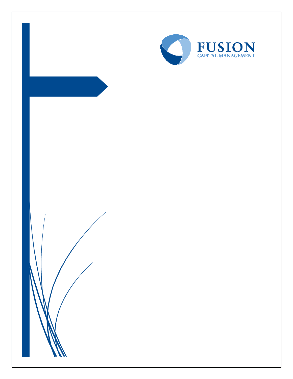

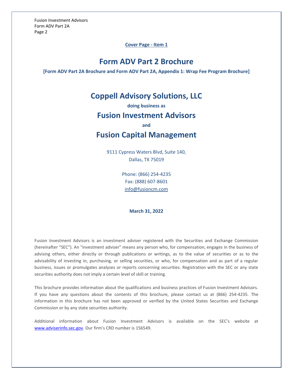**Cover Page - Item 1**

# **Form ADV Part 2 Brochure**

<span id="page-1-0"></span>**[Form ADV Part 2A Brochure and Form ADV Part 2A, Appendix 1: Wrap Fee Program Brochure]**

# **Coppell Advisory Solutions, LLC**

**doing business as**

# **Fusion Investment Advisors**

**and**

# **Fusion Capital Management**

9111 Cypress Waters Blvd, Suite 140, Dallas, TX 75019

> Phone: (866) 254-4235 Fax: (888) 607-8601 [info@fusioncm.com](mailto:info@fusioncm.com)

# **March 31, 2022**

Fusion Investment Advisors is an investment adviser registered with the Securities and Exchange Commission (hereinafter "SEC"). An "investment adviser" means any person who, for compensation, engages in the business of advising others, either directly or through publications or writings, as to the value of securities or as to the advisability of investing in, purchasing, or selling securities, or who, for compensation and as part of a regular business, issues or promulgates analyses or reports concerning securities. Registration with the SEC or any state securities authority does not imply a certain level of skill or training.

This brochure provides information about the qualifications and business practices of Fusion Investment Advisors. If you have any questions about the contents of this brochure, please contact us at (866) 254-4235. The information in this brochure has not been approved or verified by the United States Securities and Exchange Commission or by any state securities authority.

Additional information about Fusion Investment Advisors is available on the SEC's website at [www.adviserinfo.sec.gov.](http://www.adviserinfo.sec.gov/) Our firm's CRD number is 156549.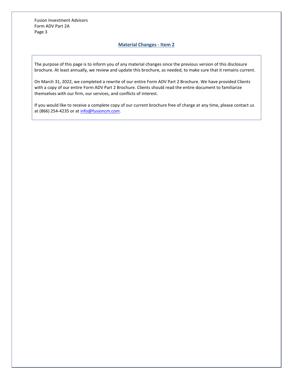# **Material Changes - Item 2**

<span id="page-2-0"></span>The purpose of this page is to inform you of any material changes since the previous version of this disclosure brochure. At least annually, we review and update this brochure, as needed, to make sure that it remains current.

On March 31, 2022, we completed a rewrite of our entire Form ADV Part 2 Brochure. We have provided Clients with a copy of our entire Form ADV Part 2 Brochure. Clients should read the entire document to familiarize themselves with our firm, our services, and conflicts of interest.

If you would like to receive a complete copy of our current brochure free of charge at any time, please contact us at (866) 254-4235 or at [info@fusioncm.com.](mailto:info@fusioncm.com)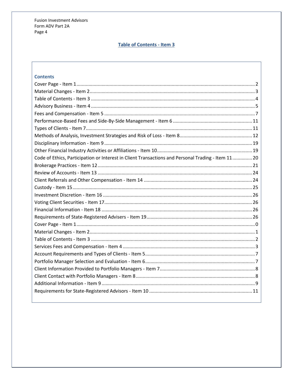# **Table of Contents - Item 3**

# <span id="page-3-0"></span>**Contents**

| Code of Ethics, Participation or Interest in Client Transactions and Personal Trading - Item 1120 |
|---------------------------------------------------------------------------------------------------|
|                                                                                                   |
|                                                                                                   |
|                                                                                                   |
|                                                                                                   |
|                                                                                                   |
|                                                                                                   |
|                                                                                                   |
|                                                                                                   |
|                                                                                                   |
|                                                                                                   |
|                                                                                                   |
|                                                                                                   |
|                                                                                                   |
|                                                                                                   |
|                                                                                                   |
|                                                                                                   |
|                                                                                                   |
|                                                                                                   |
|                                                                                                   |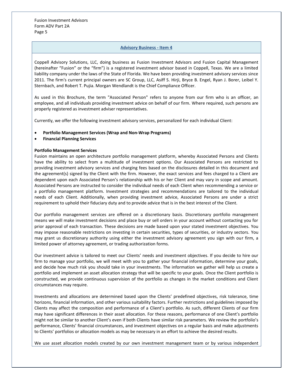# **Advisory Business - Item 4**

<span id="page-4-0"></span>Coppell Advisory Solutions, LLC, doing business as Fusion Investment Advisors and Fusion Capital Management (hereinafter "Fusion" or the "firm") is a registered investment advisor based in Coppell, Texas. We are a limited liability company under the laws of the State of Florida. We have been providing investment advisory services since 2011. The firm's current principal owners are SC Group, LLC, Asiff S. Hirji, Bryce B. Engel, Ryan J. Borer, Leibel Y. Sternbach, and Robert T. Pujia. Morgan Wendlandt is the Chief Compliance Officer.

As used in this Brochure, the term "Associated Person" refers to anyone from our firm who is an officer, an employee, and all individuals providing investment advice on behalf of our firm. Where required, such persons are properly registered as investment adviser representatives.

Currently, we offer the following investment advisory services, personalized for each individual Client:

- **Portfolio Management Services (Wrap and Non-Wrap Programs)**
- **Financial Planning Services**

# **Portfolio Management Services**

Fusion maintains an open architecture portfolio management platform, whereby Associated Persons and Clients have the ability to select from a multitude of investment options. Our Associated Persons are restricted to providing investment advisory services and charging fees based on the disclosures detailed in this document and the agreement(s) signed by the Client with the firm. However, the exact services and fees charged to a Client are dependent upon each Associated Person's relationship with his or her Client and may vary in scope and amount. Associated Persons are instructed to consider the individual needs of each Client when recommending a service or a portfolio management platform. Investment strategies and recommendations are tailored to the individual needs of each Client. Additionally, when providing investment advice, Associated Persons are under a strict requirement to uphold their fiduciary duty and to provide advice that is in the best interest of the Client.

Our portfolio management services are offered on a discretionary basis. Discretionary portfolio management means we will make investment decisions and place buy or sell orders in your account without contacting you for prior approval of each transaction. These decisions are made based upon your stated investment objectives. You may impose reasonable restrictions on investing in certain securities, types of securities, or industry sectors. You may grant us discretionary authority using either the investment advisory agreement you sign with our firm, a limited power of attorney agreement, or trading authorization forms.

Our investment advice is tailored to meet our Clients' needs and investment objectives. If you decide to hire our firm to manage your portfolio, we will meet with you to gather your financial information, determine your goals, and decide how much risk you should take in your investments. The information we gather will help us create a portfolio and implement an asset allocation strategy that will be specific to your goals. Once the Client portfolio is constructed, we provide continuous supervision of the portfolio as changes in the market conditions and Client circumstances may require.

Investments and allocations are determined based upon the Clients' predefined objectives, risk tolerance, time horizons, financial information, and other various suitability factors. Further restrictions and guidelines imposed by Clients may affect the composition and performance of a Client's portfolio. As such, different Clients of our firm may have significant differences in their asset allocation. For these reasons, performance of one Client's portfolio might not be similar to another Client's even if both Clients have similar risk parameters. We review the portfolio's performance, Clients' financial circumstances, and investment objectives on a regular basis and make adjustments to Clients' portfolios or allocation models as may be necessary in an effort to achieve the desired results.

We use asset allocation models created by our own investment management team or by various independent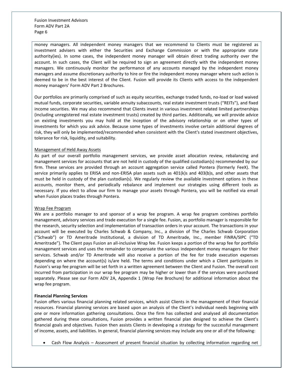money managers. All independent money managers that we recommend to Clients must be registered as investment advisers with either the Securities and Exchange Commission or with the appropriate state authority(ies). In some cases, the independent money manager will obtain direct trading authority over the account. In such cases, the Client will be required to sign an agreement directly with the independent money managers. We continuously monitor the performance of any accounts managed by the independent money managers and assume discretionary authority to hire or fire the independent money manager where such action is deemed to be in the best interest of the Client. Fusion will provide its Clients with access to the independent money managers' Form ADV Part 2 Brochures.

Our portfolios are primarily comprised of such as equity securities, exchange traded funds, no-load or load waived mutual funds, corporate securities, variable annuity subaccounts, real estate investment trusts ("REITs"), and fixed income securities. We may also recommend that Clients invest in various investment related limited partnerships (including unregistered real estate investment trusts) created by third parties. Additionally, we will provide advice on existing investments you may hold at the inception of the advisory relationship or on other types of investments for which you ask advice. Because some types of investments involve certain additional degrees of risk, they will only be implemented/recommended when consistent with the Client's stated investment objectives, tolerance for risk, liquidity, and suitability.

### Management of Held Away Assets

As part of our overall portfolio management services, we provide asset allocation review, rebalancing and management services for accounts that are not held in custody of the qualified custodian(s) recommended by our firm. These services are provided through an account aggregation service called Pontera (formerly FeeX). The service primarily applies to ERISA and non-ERISA plan assets such as 401(k)s and 403(b)s, and other assets that must be held in custody of the plan custodian(s). We regularly review the available investment options in these accounts, monitor them, and periodically rebalance and implement our strategies using different tools as necessary. If you elect to allow our firm to manage your assets through Pontera, you will be notified via email when Fusion places trades through Pontera.

### Wrap Fee Program

We are a portfolio manager to and sponsor of a wrap fee program. A wrap fee program combines portfolio management, advisory services and trade execution for a single fee. Fusion, as portfolio manager is responsible for the research, security selection and implementation of transaction orders in your account. The transactions in your account will be executed by Charles Schwab & Company, Inc., a division of The Charles Schwab Corporation ("Schwab") or TD Ameritrade Institutional, a division of TD Ameritrade, Inc., member FINRA/SIPC ("TD Ameritrade"). The Client pays Fusion an all-inclusive Wrap fee. Fusion keeps a portion of the wrap fee for portfolio management services and uses the remainder to compensate the various independent money managers for their services. Schwab and/or TD Ameritrade will also receive a portion of the fee for trade execution expenses depending on where the account(s) is/are held. The terms and conditions under which a Client participates in Fusion's wrap fee program will be set forth in a written agreement between the Client and Fusion. The overall cost incurred from participation in our wrap fee program may be higher or lower than if the services were purchased separately. Please see our Form ADV 2A, Appendix 1 (Wrap Fee Brochure) for additional information about the wrap fee program.

# **Financial Planning Services**

Fusion offers various financial planning related services, which assist Clients in the management of their financial resources. Financial planning services are based upon an analysis of the Client's individual needs beginning with one or more information gathering consultations. Once the firm has collected and analysed all documentation gathered during these consultations, Fusion provides a written financial plan designed to achieve the Client's financial goals and objectives. Fusion then assists Clients in developing a strategy for the successful management of income, assets, and liabilities. In general, financial planning services may include any one or all of the following:

• Cash Flow Analysis – Assessment of present financial situation by collecting information regarding net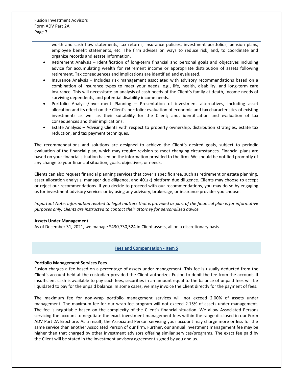> worth and cash flow statements, tax returns, insurance policies, investment portfolios, pension plans, employee benefit statements, etc. The firm advises on ways to reduce risk; and, to coordinate and organize records and estate information.

- Retirement Analysis Identification of long-term financial and personal goals and objectives including advice for accumulating wealth for retirement income or appropriate distribution of assets following retirement. Tax consequences and implications are identified and evaluated.
- Insurance Analysis Includes risk management associated with advisory recommendations based on a combination of insurance types to meet your needs, e.g., life, health, disability, and long-term care insurance. This will necessitate an analysis of cash needs of the Client's family at death, income needs of surviving dependents, and potential disability income needs.
- Portfolio Analysis/Investment Planning Presentation of investment alternatives, including asset allocation and its effect on the Client's portfolio; evaluation of economic and tax characteristics of existing investments as well as their suitability for the Client; and, identification and evaluation of tax consequences and their implications.
- Estate Analysis Advising Clients with respect to property ownership, distribution strategies, estate tax reduction, and tax payment techniques.

The recommendations and solutions are designed to achieve the Client's desired goals, subject to periodic evaluation of the financial plan, which may require revision to meet changing circumstances. Financial plans are based on your financial situation based on the information provided to the firm. We should be notified promptly of any change to your financial situation, goals, objectives, or needs.

Clients can also request financial planning services that cover a specific area, such as retirement or estate planning, asset allocation analysis, manager due diligence, and 401(k) platform due diligence. Clients may choose to accept or reject our recommendations. If you decide to proceed with our recommendations, you may do so by engaging us for investment advisory services or by using any advisory, brokerage, or insurance provider you choose.

*Important Note: Information related to legal matters that is provided as part of the financial plan is for informative purposes only. Clients are instructed to contact their attorney for personalized advice.*

# **Assets Under Management**

<span id="page-6-0"></span>As of December 31, 2021, we manage \$430,730,524 in Client assets, all on a discretionary basis.

# **Fees and Compensation - Item 5**

### **Portfolio Management Services Fees**

Fusion charges a fee based on a percentage of assets under management. This fee is usually deducted from the Client's account held at the custodian provided the Client authorizes Fusion to debit the fee from the account. If insufficient cash is available to pay such fees, securities in an amount equal to the balance of unpaid fees will be liquidated to pay for the unpaid balance. In some cases, we may invoice the Client directly for the payment of fees.

The maximum fee for non-wrap portfolio management services will not exceed 2.00% of assets under management. The maximum fee for our wrap fee program will not exceed 2.15% of assets under management. The fee is negotiable based on the complexity of the Client's financial situation. We allow Associated Persons servicing the account to negotiate the exact investment management fees within the range disclosed in our Form ADV Part 2A Brochure. As a result, the Associated Person servicing your account may charge more or less for the same service than another Associated Person of our firm. Further, our annual investment management fee may be higher than that charged by other investment advisors offering similar services/programs. The exact fee paid by the Client will be stated in the investment advisory agreement signed by you and us.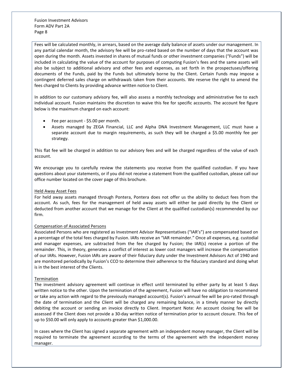Fees will be calculated monthly, in arrears, based on the average daily balance of assets under our management. In any partial calendar month, the advisory fee will be pro-rated based on the number of days that the account was open during the month. Assets invested in shares of mutual funds or other investment companies ("Funds") will be included in calculating the value of the account for purposes of computing Fusion's fees and the same assets will also be subject to additional advisory and other fees and expenses, as set forth in the prospectuses/offering documents of the Funds, paid by the Funds but ultimately borne by the Client. Certain Funds may impose a contingent deferred sales charge on withdrawals taken from their accounts. We reserve the right to amend the fees charged to Clients by providing advance written notice to Client.

In addition to our customary advisory fee, will also assess a monthly technology and administrative fee to each individual account. Fusion maintains the discretion to waive this fee for specific accounts. The account fee figure below is the maximum charged on each account:

- Fee per account \$5.00 per month.
- Assets managed by ZEGA Financial, LLC and Alpha DNA Investment Management, LLC must have a separate account due to margin requirements, as such they will be charged a \$5.00 monthly fee per strategy.

This flat fee will be charged in addition to our advisory fees and will be charged regardless of the value of each account.

We encourage you to carefully review the statements you receive from the qualified custodian. If you have questions about your statements, or if you did not receive a statement from the qualified custodian, please call our office number located on the cover page of this brochure.

# Held Away Asset Fees

For held away assets managed through Pontera, Pontera does not offer us the ability to deduct fees from the account. As such, fees for the management of held away assets will either be paid directly by the Client or deducted from another account that we manage for the Client at the qualified custodian(s) recommended by our firm.

# Compensation of Associated Persons

Associated Persons who are registered as Investment Advisor Representatives ("IAR's") are compensated based on a percentage of the total fees charged by Fusion. IARs receive an "IAR remainder." Once all expenses, e.g. custodial and manager expenses, are subtracted from the fee charged by Fusion; the IAR(s) receive a portion of the remainder. This, in theory, generates a conflict of interest as lower cost managers will increase the compensation of our IARs. However, Fusion IARs are aware of their fiduciary duty under the Investment Advisors Act of 1940 and are monitored periodically by Fusion's CCO to determine their adherence to the fiduciary standard and doing what is in the best interest of the Clients.

### Termination

The investment advisory agreement will continue in effect until terminated by either party by at least 5 days written notice to the other. Upon the termination of the agreement, Fusion will have no obligation to recommend or take any action with regard to the previously managed account(s). Fusion's annual fee will be pro-rated through the date of termination and the Client will be charged any remaining balance, in a timely manner by directly debiting the account or sending an invoice directly to Client. Important Note: An account closing fee will be assessed if the Client does not provide a 30-day written notice of termination prior to account closure. This fee of up to \$50.00 will only apply to accounts greater than \$1,000.00.

In cases where the Client has signed a separate agreement with an independent money manager, the Client will be required to terminate the agreement according to the terms of the agreement with the independent money manager.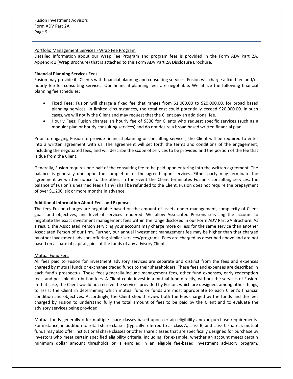### Portfolio Management Services - Wrap Fee Program

Detailed information about our Wrap Fee Program and program fees is provided in the Form ADV Part 2A, Appendix 1 (Wrap Brochure) that is attached to this Form ADV Part 2A Disclosure Brochure.

### **Financial Planning Services Fees**

Fusion may provide its Clients with financial planning and consulting services. Fusion will charge a fixed fee and/or hourly fee for consulting services. Our financial planning fees are negotiable. We utilize the following financial planning fee schedules:

- Fixed Fees: Fusion will charge a fixed fee that ranges from \$1,000.00 to \$20,000.00, for broad based planning services. In limited circumstances, the total cost could potentially exceed \$20,000.00. In such cases, we will notify the Client and may request that the Client pay an additional fee.
- Hourly Fees: Fusion charges an hourly fee of \$300 for Clients who request specific services (such as a modular plan or hourly consulting services) and do not desire a broad based written financial plan.

Prior to engaging Fusion to provide financial planning or consulting services, the Client will be required to enter into a written agreement with us. The agreement will set forth the terms and conditions of the engagement, including the negotiated fees, and will describe the scope of services to be provided and the portion of the fee that is due from the Client.

Generally, Fusion requires one-half of the consulting fee to be paid upon entering into the written agreement. The balance is generally due upon the completion of the agreed upon services. Either party may terminate the agreement by written notice to the other. In the event the Client terminates Fusion's consulting services, the balance of Fusion's unearned fees (if any) shall be refunded to the Client. Fusion does not require the prepayment of over \$1,200, six or more months in advance.

### **Additional Information About Fees and Expenses**

The fees Fusion charges are negotiable based on the amount of assets under management, complexity of Client goals and objectives, and level of services rendered. We allow Associated Persons servicing the account to negotiate the exact investment management fees within the range disclosed in our Form ADV Part 2A Brochure. As a result, the Associated Person servicing your account may charge more or less for the same service than another Associated Person of our firm. Further, our annual investment management fee may be higher than that charged by other investment advisors offering similar services/programs. Fees are charged as described above and are not based on a share of capital gains of the funds of any advisory Client.

## Mutual Fund Fees

All fees paid to Fusion for investment advisory services are separate and distinct from the fees and expenses charged by mutual funds or exchange traded funds to their shareholders. These fees and expenses are described in each fund's prospectus. These fees generally include management fees, other fund expenses, early redemption fees, and possible distribution fees. A Client could invest in a mutual fund directly, without the services of Fusion. In that case, the Client would not receive the services provided by Fusion, which are designed, among other things, to assist the Client in determining which mutual fund or funds are most appropriate to each Client's financial condition and objectives. Accordingly, the Client should review both the fees charged by the funds and the fees charged by Fusion to understand fully the total amount of fees to be paid by the Client and to evaluate the advisory services being provided.

Mutual funds generally offer multiple share classes based upon certain eligibility and/or purchase requirements. For instance, in addition to retail share classes (typically referred to as class A, class B, and class C shares), mutual funds may also offer institutional share classes or other share classes that are specifically designed for purchase by investors who meet certain specified eligibility criteria, including, for example, whether an account meets certain minimum dollar amount thresholds or is enrolled in an eligible fee-based investment advisory program.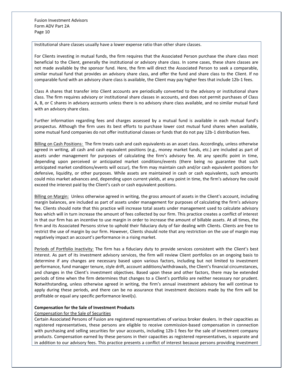Institutional share classes usually have a lower expense ratio than other share classes.

For Clients investing in mutual funds, the firm requires that the Associated Person purchase the share class most beneficial to the Client, generally the institutional or advisory share class. In some cases, these share classes are not made available by the sponsor fund. Here, the firm will direct the Associated Person to seek a comparable, similar mutual fund that provides an advisory share class, and offer the fund and share class to the Client. If no comparable fund with an advisory share class is available, the Client may pay higher fees that include 12b-1 fees.

Class A shares that transfer into Client accounts are periodically converted to the advisory or institutional share class. The firm requires advisory or institutional share classes in accounts, and does not permit purchases of Class A, B, or C shares in advisory accounts unless there is no advisory share class available, and no similar mutual fund with an advisory share class.

Further information regarding fees and charges assessed by a mutual fund is available in each mutual fund's prospectus. Although the firm uses its best efforts to purchase lower cost mutual fund shares when available, some mutual fund companies do not offer institutional classes or funds that do not pay 12b-1 distribution fees.

Billing on Cash Positions: The firm treats cash and cash equivalents as an asset class. Accordingly, unless otherwise agreed in writing, all cash and cash equivalent positions (e.g., money market funds, etc.) are included as part of assets under management for purposes of calculating the firm's advisory fee. At any specific point in time, depending upon perceived or anticipated market conditions/events (there being no guarantee that such anticipated market conditions/events will occur), the firm may maintain cash and/or cash equivalent positions for defensive, liquidity, or other purposes. While assets are maintained in cash or cash equivalents, such amounts could miss market advances and, depending upon current yields, at any point in time, the firm's advisory fee could exceed the interest paid by the Client's cash or cash equivalent positions.

Billing on Margin: Unless otherwise agreed in writing, the gross amount of assets in the Client's account, including margin balances, are included as part of assets under management for purposes of calculating the firm's advisory fee. Clients should note that this practice will increase total assets under management used to calculate advisory fees which will in turn increase the amount of fees collected by our firm. This practice creates a conflict of interest in that our firm has an incentive to use margin in order to increase the amount of billable assets. At all times, the firm and its Associated Persons strive to uphold their fiduciary duty of fair dealing with Clients. Clients are free to restrict the use of margin by our firm. However, Clients should note that any restriction on the use of margin may negatively impact an account's performance in a rising market.

Periods of Portfolio Inactivity: The firm has a fiduciary duty to provide services consistent with the Client's best interest. As part of its investment advisory services, the firm will review Client portfolios on an ongoing basis to determine if any changes are necessary based upon various factors, including but not limited to investment performance, fund manager tenure, style drift, account additions/withdrawals, the Client's financial circumstances, and changes in the Client's investment objectives. Based upon these and other factors, there may be extended periods of time when the firm determines that changes to a Client's portfolio are neither necessary nor prudent. Notwithstanding, unless otherwise agreed in writing, the firm's annual investment advisory fee will continue to apply during these periods, and there can be no assurance that investment decisions made by the firm will be profitable or equal any specific performance level(s).

# **Compensation for the Sale of Investment Products**

### Compensation for the Sale of Securities

Certain Associated Persons of Fusion are registered representatives of various broker dealers. In their capacities as registered representatives, these persons are eligible to receive commission-based compensation in connection with purchasing and selling securities for your accounts, including 12b-1 fees for the sale of investment company products. Compensation earned by these persons in their capacities as registered representatives, is separate and in addition to our advisory fees. This practice presents a conflict of interest because persons providing investment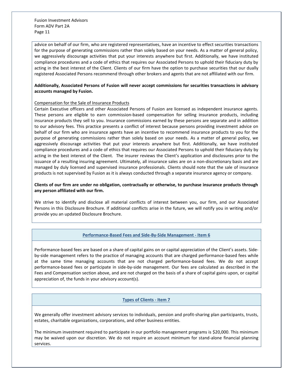advice on behalf of our firm, who are registered representatives, have an incentive to effect securities transactions for the purpose of generating commissions rather than solely based on your needs. As a matter of general policy, we aggressively discourage activities that put your interests anywhere but first. Additionally, we have instituted compliance procedures and a code of ethics that requires our Associated Persons to uphold their fiduciary duty by acting in the best interest of the Client. Clients of our firm have the option to purchase securities that our dually registered Associated Persons recommend through other brokers and agents that are not affiliated with our firm.

# **Additionally, Associated Persons of Fusion will never accept commissions for securities transactions in advisory accounts managed by Fusion.**

### Compensation for the Sale of Insurance Products

Certain Executive officers and other Associated Persons of Fusion are licensed as independent insurance agents. These persons are eligible to earn commission-based compensation for selling insurance products, including insurance products they sell to you. Insurance commissions earned by these persons are separate and in addition to our advisory fees. This practice presents a conflict of interest because persons providing investment advice on behalf of our firm who are insurance agents have an incentive to recommend insurance products to you for the purpose of generating commissions rather than solely based on your needs. As a matter of general policy, we aggressively discourage activities that put your interests anywhere but first. Additionally, we have instituted compliance procedures and a code of ethics that requires our Associated Persons to uphold their fiduciary duty by acting in the best interest of the Client. The insurer reviews the Client's application and disclosures prior to the issuance of a resulting insuring agreement. Ultimately, all insurance sales are on a non-discretionary basis and are managed by duly licensed and supervised insurance professionals. Clients should note that the sale of insurance products is not supervised by Fusion as it is always conducted through a separate insurance agency or company.

**Clients of our firm are under no obligation, contractually or otherwise, to purchase insurance products through any person affiliated with our firm.**

We strive to identify and disclose all material conflicts of interest between you, our firm, and our Associated Persons in this Disclosure Brochure. If additional conflicts arise in the future, we will notify you in writing and/or provide you an updated Disclosure Brochure.

# **Performance-Based Fees and Side-By-Side Management - Item 6**

<span id="page-10-0"></span>Performance-based fees are based on a share of capital gains on or capital appreciation of the Client's assets. Sideby-side management refers to the practice of managing accounts that are charged performance-based fees while at the same time managing accounts that are not charged performance-based fees. We do not accept performance-based fees or participate in side-by-side management. Our fees are calculated as described in the Fees and Compensation section above, and are not charged on the basis of a share of capital gains upon, or capital appreciation of, the funds in your advisory account(s).

# **Types of Clients - Item 7**

<span id="page-10-1"></span>We generally offer investment advisory services to individuals, pension and profit-sharing plan participants, trusts, estates, charitable organizations, corporations, and other business entities.

The minimum investment required to participate in our portfolio management programs is \$20,000. This minimum may be waived upon our discretion. We do not require an account minimum for stand-alone financial planning services.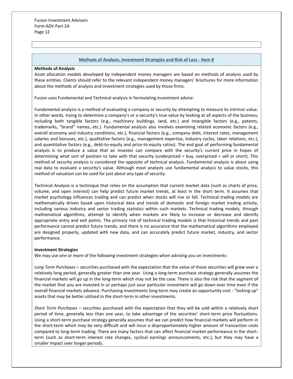### **Methods of Analysis, Investment Strategies and Risk of Loss - Item 8**

### <span id="page-11-0"></span>**Methods of Analysis**

Asset allocation models developed by independent money managers are based on methods of analysis used by these entities. Clients should refer to the relevant independent money managers' brochures for more information about the methods of analysis and investment strategies used by those firms.

Fusion uses Fundamental and Technical analysis in formulating investment advice:

Fundamental analysis is a method of evaluating a company or security by attempting to measure its intrinsic value. In other words, trying to determine a company's or a security's true value by looking at all aspects of the business, including both tangible factors (e.g., machinery buildings, land, etc.) and intangible factors (e.g., patents, trademarks, "brand" names, etc.). Fundamental analysis also involves examining related economic factors (e.g., overall economy and industry conditions, etc.), financial factors (e.g., company debt, interest rates, management salaries and bonuses, etc.), qualitative factors (e.g., management expertise, industry cycles, labor relations, etc.), and quantitative factors (e.g., debt-to-equity and price-to-equity ratios). The end goal of performing fundamental analysis is to produce a value that an investor can compare with the security's current price in hopes of determining what sort of position to take with that security (underpriced = buy, overpriced = sell or short). This method of security analysis is considered the opposite of technical analysis. Fundamental analysis is about using real data to evaluate a security's value. Although most analysts use fundamental analysis to value stocks, this method of valuation can be used for just about any type of security.

Technical Analysis is a technique that relies on the assumption that current market data (such as charts of price, volume, and open interest) can help predict future market trends, at least in the short term. It assumes that market psychology influences trading and can predict when stocks will rise or fall. Technical trading models are mathematically driven based upon historical data and trends of domestic and foreign market trading activity, including various industry and sector trading statistics within such markets. Technical trading models, through mathematical algorithms, attempt to identify when markets are likely to increase or decrease and identify appropriate entry and exit points. The primary risk of technical trading models is that historical trends and past performance cannot predict future trends, and there is no assurance that the mathematical algorithms employed are designed properly, updated with new data, and can accurately predict future market, industry, and sector performance.

### **Investment Strategies**

We may use one or more of the following investment strategies when advising you on investments:

*Long Term Purchases* – securities purchased with the expectation that the value of those securities will grow over a relatively long period, generally greater than one year. Using a long-term purchase strategy generally assumes the financial markets will go up in the long-term which may not be the case. There is also the risk that the segment of the market that you are invested in or perhaps just your particular investment will go down over time even if the overall financial markets advance. Purchasing investments long-term may create an opportunity cost - "locking-up" assets that may be better utilized in the short-term in other investments.

*Short Term Purchases* – securities purchased with the expectation that they will be sold within a relatively short period of time, generally less than one year, to take advantage of the securities' short-term price fluctuations. Using a short-term purchase strategy generally assumes that we can predict how financial markets will perform in the short-term which may be very difficult and will incur a disproportionately higher amount of transaction costs compared to long-term trading. There are many factors that can affect financial market performance in the shortterm (such as short-term interest rate changes, cyclical earnings announcements, etc.), but they may have a smaller impact over longer periods.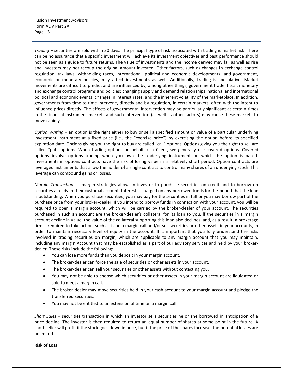*Trading –* securities are sold within 30 days. The principal type of risk associated with trading is market risk. There can be no assurance that a specific investment will achieve its investment objectives and past performance should not be seen as a guide to future returns. The value of investments and the income derived may fall as well as rise and investors may not recoup the original amount invested. Other factors, such as changes in exchange control regulation, tax laws, withholding taxes, international, political and economic developments, and government, economic or monetary policies, may affect investments as well. Additionally, trading is speculative. Market movements are difficult to predict and are influenced by, among other things, government trade, fiscal, monetary and exchange control programs and policies; changing supply and demand relationships; national and international political and economic events; changes in interest rates; and the inherent volatility of the marketplace. In addition, governments from time to time intervene, directly and by regulation, in certain markets, often with the intent to influence prices directly. The effects of governmental intervention may be particularly significant at certain times in the financial instrument markets and such intervention (as well as other factors) may cause these markets to move rapidly.

*Option Writing* – an option is the right either to buy or sell a specified amount or value of a particular underlying investment instrument at a fixed price (i.e., the "exercise price") by exercising the option before its specified expiration date. Options giving you the right to buy are called "call" options. Options giving you the right to sell are called "put" options. When trading options on behalf of a Client, we generally use covered options. Covered options involve options trading when you own the underlying instrument on which the option is based. Investments in options contracts have the risk of losing value in a relatively short period. Option contracts are leveraged instruments that allow the holder of a single contract to control many shares of an underlying stock. This leverage can compound gains or losses.

*Margin Transactions* – margin strategies allow an investor to purchase securities on credit and to borrow on securities already in their custodial account. Interest is charged on any borrowed funds for the period that the loan is outstanding. When you purchase securities, you may pay for the securities in full or you may borrow part of the purchase price from your broker-dealer. If you intend to borrow funds in connection with your account, you will be required to open a margin account, which will be carried by the broker-dealer of your account. The securities purchased in such an account are the broker-dealer's collateral for its loan to you. If the securities in a margin account decline in value, the value of the collateral supporting this loan also declines, and, as a result, a brokerage firm is required to take action, such as issue a margin call and/or sell securities or other assets in your accounts, in order to maintain necessary level of equity in the account. It is important that you fully understand the risks involved in trading securities on margin, which are applicable to any margin account that you may maintain, including any margin Account that may be established as a part of our advisory services and held by your brokerdealer. These risks include the following:

- You can lose more funds than you deposit in your margin account.
- The broker-dealer can force the sale of securities or other assets in your account.
- The broker-dealer can sell your securities or other assets without contacting you.
- You may not be able to choose which securities or other assets in your margin account are liquidated or sold to meet a margin call.
- The broker-dealer may move securities held in your cash account to your margin account and pledge the transferred securities.
- You may not be entitled to an extension of time on a margin call.

*Short Sales* – securities transaction in which an investor sells securities he or she borrowed in anticipation of a price decline. The investor is then required to return an equal number of shares at some point in the future. A short seller will profit if the stock goes down in price, but if the price of the shares increase, the potential losses are unlimited.

**Risk of Loss**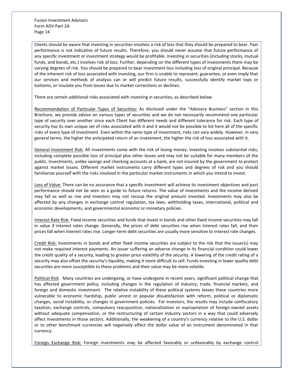Clients should be aware that investing in securities involves a risk of loss that they should be prepared to bear. Past performance is not indicative of future results. Therefore, you should never assume that future performance of any specific investment or investment strategy would be profitable. Investing in securities (including stocks, mutual funds, and bonds, etc.) involves risk of loss. Further, depending on the different types of investments there may be varying degrees of risk. You should be prepared to bear investment loss including loss of original principal. Because of the inherent risk of loss associated with investing, our firm is unable to represent, guarantee, or even imply that our services and methods of analysis can or will predict future results, successfully identify market tops or bottoms, or insulate you from losses due to market corrections or declines.

There are certain additional risks associated with investing in securities, as described below:

Recommendation of Particular Types of Securities: As disclosed under the "Advisory Business" section in this Brochure, we provide advice on various types of securities and we do not necessarily recommend one particular type of security over another since each Client has different needs and different tolerance for risk. Each type of security has its own unique set of risks associated with it and it would not be possible to list here all of the specific risks of every type of investment. Even within the same type of investment, risks can vary widely. However, in very general terms, the higher the anticipated return of an investment, the higher the risk of loss associated with it.

General Investment Risk: All investments come with the risk of losing money. Investing involves substantial risks, including complete possible loss of principal plus other losses and may not be suitable for many members of the public. Investments, unlike savings and checking accounts at a bank, are not insured by the government to protect against market losses. Different market instruments carry different types and degrees of risk and you should familiarize yourself with the risks involved in the particular market instruments in which you intend to invest.

Loss of Value: There can be no assurance that a specific investment will achieve its investment objectives and past performance should not be seen as a guide to future returns. The value of investments and the income derived may fall as well as rise and investors may not recoup the original amount invested. Investments may also be affected by any changes in exchange control regulation, tax laws, withholding taxes, international, political and economic developments, and governmental economic or monetary policies.

Interest Rate Risk: Fixed income securities and funds that invest in bonds and other fixed income securities may fall in value if interest rates change. Generally, the prices of debt securities rise when interest rates fall, and their prices fall when interest rates rise. Longer-term debt securities are usually more sensitive to interest rate changes.

Credit Risk: Investments in bonds and other fixed income securities are subject to the risk that the issuer(s) may not make required interest payments. An issuer suffering an adverse change in its financial condition could lower the credit quality of a security, leading to greater price volatility of the security. A lowering of the credit rating of a security may also offset the security's liquidity, making it more difficult to sell. Funds investing in lower quality debt securities are more susceptible to these problems and their value may be more volatile.

Political Risk. Many countries are undergoing, or have undergone in recent years, significant political change that has affected government policy, including changes in the regulation of industry, trade, financial markets, and foreign and domestic investment. The relative instability of these political systems leaves these countries more vulnerable to economic hardship, public unrest or popular dissatisfaction with reform, political or diplomatic changes, social instability, or changes in government policies. For investors, the results may include confiscatory taxation, exchange controls, compulsory reacquisition, nationalization or expropriation of foreign-owned assets without adequate compensation, or the restructuring of certain industry sectors in a way that could adversely affect investments in those sectors. Additionally, the weakening of a country's currency relative to the U.S. dollar or to other benchmark currencies will negatively affect the dollar value of an instrument denominated in that currency.

Foreign Exchange Risk: Foreign investments may be affected favorably or unfavorably by exchange control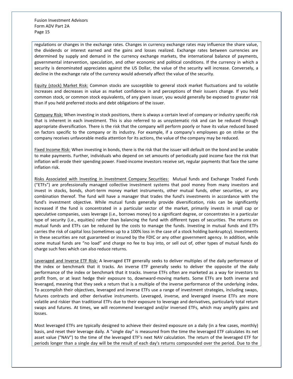regulations or changes in the exchange rates. Changes in currency exchange rates may influence the share value, the dividends or interest earned and the gains and losses realized. Exchange rates between currencies are determined by supply and demand in the currency exchange markets, the international balance of payments, governmental intervention, speculation, and other economic and political conditions. If the currency in which a security is denominated appreciates against the US Dollar, the value of the security will increase. Conversely, a decline in the exchange rate of the currency would adversely affect the value of the security.

Equity (stock) Market Risk: Common stocks are susceptible to general stock market fluctuations and to volatile increases and decreases in value as market confidence in and perceptions of their issuers change. If you held common stock, or common stock equivalents, of any given issuer, you would generally be exposed to greater risk than if you held preferred stocks and debt obligations of the issuer.

Company Risk: When investing in stock positions, there is always a certain level of company or industry specific risk that is inherent in each investment. This is also referred to as unsystematic risk and can be reduced through appropriate diversification. There is the risk that the company will perform poorly or have its value reduced based on factors specific to the company or its industry. For example, if a company's employees go on strike or the company receives unfavorable media attention for its actions, the value of the company may be reduced.

Fixed Income Risk: When investing in bonds, there is the risk that the issuer will default on the bond and be unable to make payments. Further, individuals who depend on set amounts of periodically paid income face the risk that inflation will erode their spending power. Fixed-income investors receive set, regular payments that face the same inflation risk.

Risks Associated with Investing in Investment Company Securities: Mutual funds and Exchange Traded Funds ("ETFs") are professionally managed collective investment systems that pool money from many investors and invest in stocks, bonds, short-term money market instruments, other mutual funds, other securities, or any combination thereof. The fund will have a manager that trades the fund's investments in accordance with the fund's investment objective. While mutual funds generally provide diversification, risks can be significantly increased if the fund is concentrated in a particular sector of the market, primarily invests in small cap or speculative companies, uses leverage (i.e., borrows money) to a significant degree, or concentrates in a particular type of security (i.e., equities) rather than balancing the fund with different types of securities. The returns on mutual funds and ETFs can be reduced by the costs to manage the funds. Investing in mutual funds and ETFs carries the risk of capital loss (sometimes up to a 100% loss in the case of a stock holding bankruptcy). Investments in these securities are not guaranteed or insured by the FDIC or any other government agency. In addition, while some mutual funds are "no load" and charge no fee to buy into, or sell out of, other types of mutual funds do charge such fees which can also reduce returns.

Leveraged and Inverse ETF Risk: A leveraged ETF generally seeks to deliver multiples of the daily performance of the index or benchmark that it tracks. An inverse ETF generally seeks to deliver the opposite of the daily performance of the index or benchmark that it tracks. Inverse ETFs often are marketed as a way for investors to profit from, or at least hedge their exposure to, downward-moving markets. Some ETFs are both inverse and leveraged, meaning that they seek a return that is a multiple of the inverse performance of the underlying index. To accomplish their objectives, leveraged and inverse ETFs use a range of investment strategies, including swaps, futures contracts and other derivative instruments. Leveraged, inverse, and leveraged inverse ETFs are more volatile and riskier than traditional ETFs due to their exposure to leverage and derivatives, particularly total return swaps and futures. At times, we will recommend leveraged and/or inversed ETFs, which may amplify gains and losses.

Most leveraged ETFs are typically designed to achieve their desired exposure on a daily (in a few cases, monthly) basis, and reset their leverage daily. A "single day" is measured from the time the leveraged ETF calculates its net asset value ("NAV") to the time of the leveraged ETF's next NAV calculation. The return of the leveraged ETF for periods longer than a single day will be the result of each day's returns compounded over the period. Due to the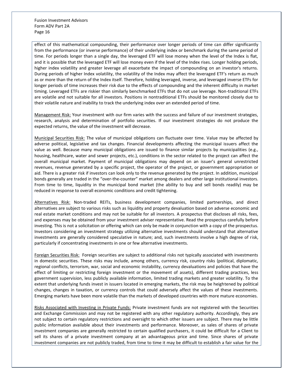effect of this mathematical compounding, their performance over longer periods of time can differ significantly from the performance (or inverse performance) of their underlying index or benchmark during the same period of time. For periods longer than a single day, the leveraged ETF will lose money when the level of the Index is flat, and it is possible that the leveraged ETF will lose money even if the level of the Index rises. Longer holding periods, higher index volatility and greater leverage all exacerbate the impact of compounding on an investor's returns. During periods of higher Index volatility, the volatility of the Index may affect the leveraged ETF's return as much as or more than the return of the Index itself. Therefore, holding leveraged, inverse, and leveraged inverse ETFs for longer periods of time increases their risk due to the effects of compounding and the inherent difficulty in market timing. Leveraged ETFs are riskier than similarly benchmarked ETFs that do not use leverage. Non-traditional ETFs are volatile and not suitable for all investors. Positions in nontraditional ETFs should be monitored closely due to their volatile nature and inability to track the underlying index over an extended period of time.

Management Risk: Your investment with our firm varies with the success and failure of our investment strategies, research, analysis and determination of portfolio securities. If our investment strategies do not produce the expected returns, the value of the investment will decrease.

Municipal Securities Risk: The value of municipal obligations can fluctuate over time. Value may be affected by adverse political, legislative and tax changes. Financial developments affecting the municipal issuers affect the value as well. Because many municipal obligations are issued to finance similar projects by municipalities (e.g., housing, healthcare, water and sewer projects, etc.), conditions in the sector related to the project can affect the overall municipal market. Payment of municipal obligations may depend on an issuer's general unrestricted revenues, revenue generated by a specific project, the operator of the project, or government appropriation or aid. There is a greater risk if investors can look only to the revenue generated by the project. In addition, municipal bonds generally are traded in the "over-the-counter" market among dealers and other large institutional investors. From time to time, liquidity in the municipal bond market (the ability to buy and sell bonds readily) may be reduced in response to overall economic conditions and credit tightening.

Alternatives Risk: Non-traded REITs, business development companies, limited partnerships, and direct alternatives are subject to various risks such as liquidity and property devaluation based on adverse economic and real estate market conditions and may not be suitable for all investors. A prospectus that discloses all risks, fees, and expenses may be obtained from your investment adviser representative. Read the prospectus carefully before investing. This is not a solicitation or offering which can only be made in conjunction with a copy of the prospectus. Investors considering an investment strategy utilizing alternative investments should understand that alternative investments are generally considered speculative in nature; and, such investments involve a high degree of risk, particularly if concentrating investments in one or few alternative investments.

Foreign Securities Risk: Foreign securities are subject to additional risks not typically associated with investments in domestic securities. These risks may include, among others, currency risk, country risks (political, diplomatic, regional conflicts, terrorism, war, social and economic instability, currency devaluations and policies that have the effect of limiting or restricting foreign investment or the movement of assets), different trading practices, less government supervision, less publicly available information, limited trading markets and greater volatility. To the extent that underlying funds invest in issuers located in emerging markets, the risk may be heightened by political changes, changes in taxation, or currency controls that could adversely affect the values of these investments. Emerging markets have been more volatile than the markets of developed countries with more mature economies.

Risks Associated with Investing in Private Funds: Private investment funds are not registered with the Securities and Exchange Commission and may not be registered with any other regulatory authority. Accordingly, they are not subject to certain regulatory restrictions and oversight to which other issuers are subject. There may be little public information available about their investments and performance. Moreover, as sales of shares of private investment companies are generally restricted to certain qualified purchasers, it could be difficult for a Client to sell its shares of a private investment company at an advantageous price and time. Since shares of private investment companies are not publicly traded, from time to time it may be difficult to establish a fair value for the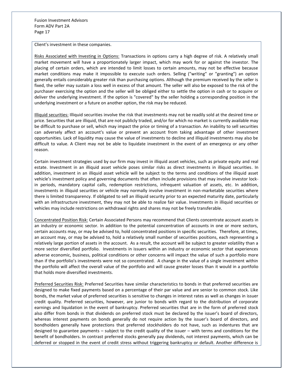Client's investment in these companies.

Risks Associated with Investing in Options: Transactions in options carry a high degree of risk. A relatively small market movement will have a proportionately larger impact, which may work for or against the investor. The placing of certain orders, which are intended to limit losses to certain amounts, may not be effective because market conditions may make it impossible to execute such orders. Selling ("writing" or "granting") an option generally entails considerably greater risk than purchasing options. Although the premium received by the seller is fixed, the seller may sustain a loss well in excess of that amount. The seller will also be exposed to the risk of the purchaser exercising the option and the seller will be obliged either to settle the option in cash or to acquire or deliver the underlying investment. If the option is "covered" by the seller holding a corresponding position in the underlying investment or a future on another option, the risk may be reduced.

Illiquid securities: Illiquid securities involve the risk that investments may not be readily sold at the desired time or price. Securities that are illiquid, that are not publicly traded, and/or for which no market is currently available may be difficult to purchase or sell, which may impact the price or timing of a transaction. An inability to sell securities can adversely affect an account's value or prevent an account from taking advantage of other investment opportunities. Lack of liquidity may cause the value of investments to decline and illiquid investments may also be difficult to value. A Client may not be able to liquidate investment in the event of an emergency or any other reason.

Certain investment strategies used by our firm may invest in illiquid asset vehicles, such as private equity and real estate. Investment in an illiquid asset vehicle poses similar risks as direct investments in illiquid securities. In addition, investment in an illiquid asset vehicle will be subject to the terms and conditions of the illiquid asset vehicle's investment policy and governing documents that often include provisions that may involve investor lockin periods, mandatory capital calls, redemption restrictions, infrequent valuation of assets, etc. In addition, investments in illiquid securities or vehicle may normally involve investment in non-marketable securities where there is limited transparency. If obligated to sell an illiquid security prior to an expected maturity date, particularly with an infrastructure investment, they may not be able to realize fair value. Investments in illiquid securities or vehicles may include restrictions on withdrawal rights and shares may not be freely transferable.

Concentrated Position Risk: Certain Associated Persons may recommend that Clients concentrate account assets in an industry or economic sector. In addition to the potential concentration of accounts in one or more sectors, certain accounts may, or may be advised to, hold concentrated positions in specific securities. Therefore, at times, an account may, or may be advised to, hold a relatively small number of securities positions, each representing a relatively large portion of assets in the account. As a result, the account will be subject to greater volatility than a more sector diversified portfolio. Investments in issuers within an industry or economic sector that experiences adverse economic, business, political conditions or other concerns will impact the value of such a portfolio more than if the portfolio's investments were not so concentrated. A change in the value of a single investment within the portfolio will affect the overall value of the portfolio and will cause greater losses than it would in a portfolio that holds more diversified investments.

Preferred Securities Risk: Preferred Securities have similar characteristics to bonds in that preferred securities are designed to make fixed payments based on a percentage of their par value and are senior to common stock. Like bonds, the market value of preferred securities is sensitive to changes in interest rates as well as changes in issuer credit quality. Preferred securities, however, are junior to bonds with regard to the distribution of corporate earnings and liquidation in the event of bankruptcy. Preferred securities that are in the form of preferred stock also differ from bonds in that dividends on preferred stock must be declared by the issuer's board of directors, whereas interest payments on bonds generally do not require action by the issuer's board of directors, and bondholders generally have protections that preferred stockholders do not have, such as indentures that are designed to guarantee payments – subject to the credit quality of the issuer – with terms and conditions for the benefit of bondholders. In contrast preferred stocks generally pay dividends, not interest payments, which can be deferred or stopped in the event of credit stress without triggering bankruptcy or default. Another difference is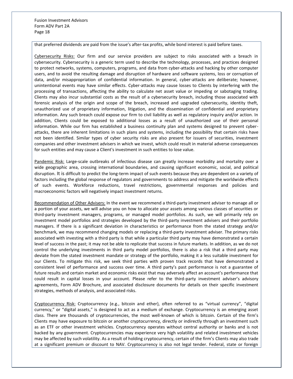that preferred dividends are paid from the issue's after-tax profits, while bond interest is paid before taxes.

Cybersecurity Risks: Our firm and our service providers are subject to risks associated with a breach in cybersecurity. Cybersecurity is a generic term used to describe the technology, processes, and practices designed to protect networks, systems, computers, programs, and data from cyber-attacks and hacking by other computer users, and to avoid the resulting damage and disruption of hardware and software systems, loss or corruption of data, and/or misappropriation of confidential information. In general, cyber-attacks are deliberate; however, unintentional events may have similar effects. Cyber-attacks may cause losses to Clients by interfering with the processing of transactions, affecting the ability to calculate net asset value or impeding or sabotaging trading. Clients may also incur substantial costs as the result of a cybersecurity breach, including those associated with forensic analysis of the origin and scope of the breach, increased and upgraded cybersecurity, identity theft, unauthorized use of proprietary information, litigation, and the dissemination of confidential and proprietary information. Any such breach could expose our firm to civil liability as well as regulatory inquiry and/or action. In addition, Clients could be exposed to additional losses as a result of unauthorized use of their personal information. While our firm has established a business continuity plan and systems designed to prevent cyberattacks, there are inherent limitations in such plans and systems, including the possibility that certain risks have not been identified. Similar types of cyber security risks are also present for issuers of securities, investment companies and other investment advisers in which we invest, which could result in material adverse consequences for such entities and may cause a Client's investment in such entities to lose value.

Pandemic Risk: Large-scale outbreaks of infectious disease can greatly increase morbidity and mortality over a wide geographic area, crossing international boundaries, and causing significant economic, social, and political disruption. It is difficult to predict the long-term impact of such events because they are dependent on a variety of factors including the global response of regulators and governments to address and mitigate the worldwide effects of such events. Workforce reductions, travel restrictions, governmental responses and policies and macroeconomic factors will negatively impact investment returns.

Recommendation of Other Advisers: In the event we recommend a third-party investment adviser to manage all or a portion of your assets, we will advise you on how to allocate your assets among various classes of securities or third-party investment managers, programs, or managed model portfolios. As such, we will primarily rely on investment model portfolios and strategies developed by the third-party investment advisers and their portfolio managers. If there is a significant deviation in characteristics or performance from the stated strategy and/or benchmark, we may recommend changing models or replacing a third-party investment adviser. The primary risks associated with investing with a third party is that while a particular third party may have demonstrated a certain level of success in the past; it may not be able to replicate that success in future markets. In addition, as we do not control the underlying investments in third party model portfolios, there is also a risk that a third party may deviate from the stated investment mandate or strategy of the portfolio, making it a less suitable investment for our Clients. To mitigate this risk, we seek third parties with proven track records that have demonstrated a consistent level of performance and success over time. A third party's past performance is not a guarantee of future results and certain market and economic risks exist that may adversely affect an account's performance that could result in capital losses in your account. Please refer to the third-party investment adviser's advisory agreements, Form ADV Brochure, and associated disclosure documents for details on their specific investment strategies, methods of analysis, and associated risks.

Cryptocurrency Risk: Cryptocurrency (e.g., bitcoin and ether), often referred to as "virtual currency", "digital currency," or "digital assets," is designed to act as a medium of exchange. Cryptocurrency is an emerging asset class. There are thousands of cryptocurrencies, the most well-known of which is bitcoin. Certain of the firm's Clients may have exposure to bitcoin or another cryptocurrency, directly or indirectly through an investment such as an ETF or other investment vehicles. Cryptocurrency operates without central authority or banks and is not backed by any government. Cryptocurrencies may experience very high volatility and related investment vehicles may be affected by such volatility. As a result of holding cryptocurrency, certain of the firm's Clients may also trade at a significant premium or discount to NAV. Cryptocurrency is also not legal tender. Federal, state or foreign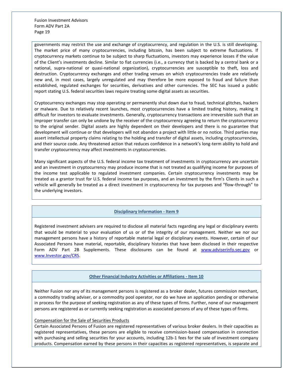governments may restrict the use and exchange of cryptocurrency, and regulation in the U.S. is still developing. The market price of many cryptocurrencies, including bitcoin, has been subject to extreme fluctuations. If cryptocurrency markets continue to be subject to sharp fluctuations, investors may experience losses if the value of the Client's investments decline. Similar to fiat currencies (i.e., a currency that is backed by a central bank or a national, supra-national or quasi-national organization), cryptocurrencies are susceptible to theft, loss and destruction. Cryptocurrency exchanges and other trading venues on which cryptocurrencies trade are relatively new and, in most cases, largely unregulated and may therefore be more exposed to fraud and failure than established, regulated exchanges for securities, derivatives and other currencies. The SEC has issued a public report stating U.S. federal securities laws require treating some digital assets as securities.

Cryptocurrency exchanges may stop operating or permanently shut down due to fraud, technical glitches, hackers or malware. Due to relatively recent launches, most cryptocurrencies have a limited trading history, making it difficult for investors to evaluate investments. Generally, cryptocurrency transactions are irreversible such that an improper transfer can only be undone by the receiver of the cryptocurrency agreeing to return the cryptocurrency to the original sender. Digital assets are highly dependent on their developers and there is no guarantee that development will continue or that developers will not abandon a project with little or no notice. Third parties may assert intellectual property claims relating to the holding and transfer of digital assets, including cryptocurrencies, and their source code. Any threatened action that reduces confidence in a network's long-term ability to hold and transfer cryptocurrency may affect investments in cryptocurrencies.

Many significant aspects of the U.S. federal income tax treatment of investments in cryptocurrency are uncertain and an investment in cryptocurrency may produce income that is not treated as qualifying income for purposes of the income test applicable to regulated investment companies. Certain cryptocurrency investments may be treated as a grantor trust for U.S. federal income tax purposes, and an investment by the firm's Clients in such a vehicle will generally be treated as a direct investment in cryptocurrency for tax purposes and "flow-through" to the underlying investors.

# **Disciplinary Information - Item 9**

<span id="page-18-0"></span>Registered investment advisers are required to disclose all material facts regarding any legal or disciplinary events that would be material to your evaluation of us or of the integrity of our management. Neither we nor our management persons have a history of reportable material legal or disciplinary events. However, certain of our Associated Persons have material, reportable, disciplinary histories that have been disclosed in their respective Form ADV Part 2B Supplements. These disclosures can be found at [www.adviserinfo.sec.gov](http://www.adviserinfo.sec.gov/) or [www.Investor.gov/CRS.](http://www.investor.gov/CRS) 

# **Other Financial Industry Activities or Affiliations - Item 10**

<span id="page-18-1"></span>Neither Fusion nor any of its management persons is registered as a broker dealer, futures commission merchant, a commodity trading adviser, or a commodity pool operator, nor do we have an application pending or otherwise in process for the purpose of seeking registration as any of these types of firms. Further, none of our management persons are registered as or currently seeking registration as associated persons of any of these types of firms.

### Compensation for the Sale of Securities Products

Certain Associated Persons of Fusion are registered representatives of various broker dealers. In their capacities as registered representatives, these persons are eligible to receive commission-based compensation in connection with purchasing and selling securities for your accounts, including 12b-1 fees for the sale of investment company products. Compensation earned by these persons in their capacities as registered representatives, is separate and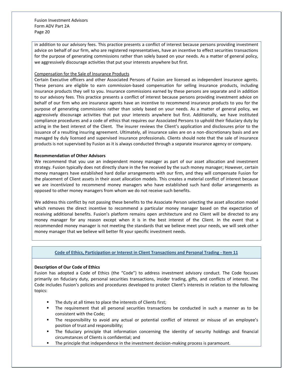in addition to our advisory fees. This practice presents a conflict of interest because persons providing investment advice on behalf of our firm, who are registered representatives, have an incentive to effect securities transactions for the purpose of generating commissions rather than solely based on your needs. As a matter of general policy, we aggressively discourage activities that put your interests anywhere but first.

### Compensation for the Sale of Insurance Products

Certain Executive officers and other Associated Persons of Fusion are licensed as independent insurance agents. These persons are eligible to earn commission-based compensation for selling insurance products, including insurance products they sell to you. Insurance commissions earned by these persons are separate and in addition to our advisory fees. This practice presents a conflict of interest because persons providing investment advice on behalf of our firm who are insurance agents have an incentive to recommend insurance products to you for the purpose of generating commissions rather than solely based on your needs. As a matter of general policy, we aggressively discourage activities that put your interests anywhere but first. Additionally, we have instituted compliance procedures and a code of ethics that requires our Associated Persons to uphold their fiduciary duty by acting in the best interest of the Client. The insurer reviews the Client's application and disclosures prior to the issuance of a resulting insuring agreement. Ultimately, all insurance sales are on a non-discretionary basis and are managed by duly licensed and supervised insurance professionals. Clients should note that the sale of insurance products is not supervised by Fusion as it is always conducted through a separate insurance agency or company.

# **Recommendation of Other Advisors**

We recommend that you use an independent money manager as part of our asset allocation and investment strategy. Fusion typically does not directly share in the fee received by the such money manager; However, certain money managers have established hard dollar arrangements with our firm, and they will compensate Fusion for the placement of Client assets in their asset allocation models. This creates a material conflict of interest because we are incentivized to recommend money managers who have established such hard dollar arrangements as opposed to other money managers from whom we do not receive such benefits.

We address this conflict by not passing these benefits to the Associate Person selecting the asset allocation model which removes the direct incentive to recommend a particular money manager based on the expectation of receiving additional benefits. Fusion's platform remains open architecture and no Client will be directed to any money manager for any reason except when it is in the best interest of the Client. In the event that a recommended money manager is not meeting the standards that we believe meet your needs, we will seek other money manager that we believe will better fit your specific investment needs.

# **Code of Ethics, Participation or Interest in Client Transactions and Personal Trading - Item 11**

# <span id="page-19-0"></span>**Description of Our Code of Ethics**

Fusion has adopted a Code of Ethics (the "Code") to address investment advisory conduct. The Code focuses primarily on fiduciary duty, personal securities transactions, insider trading, gifts, and conflicts of interest. The Code includes Fusion's policies and procedures developed to protect Client's interests in relation to the following topics:

- The duty at all times to place the interests of Clients first;
- The requirement that all personal securities transactions be conducted in such a manner as to be consistent with the Code;
- The responsibility to avoid any actual or potential conflict of interest or misuse of an employee's position of trust and responsibility;
- The fiduciary principle that information concerning the identity of security holdings and financial circumstances of Clients is confidential; and
- The principle that independence in the investment decision-making process is paramount.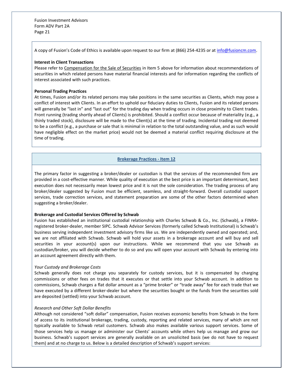A copy of Fusion's Code of Ethics is available upon request to our firm at (866) 254-4235 or at [info@fusioncm.com.](mailto:info@fusioncm.com)

### **Interest in Client Transactions**

Please refer to Compensation for the Sale of Securities in Item 5 above for information about recommendations of securities in which related persons have material financial interests and for information regarding the conflicts of interest associated with such practices.

### **Personal Trading Practices**

At times, Fusion and/or its related persons may take positions in the same securities as Clients, which may pose a conflict of interest with Clients. In an effort to uphold our fiduciary duties to Clients, Fusion and its related persons will generally be "last in" and "last out" for the trading day when trading occurs in close proximity to Client trades. Front running (trading shortly ahead of Clients) is prohibited. Should a conflict occur because of materiality (e.g., a thinly traded stock), disclosure will be made to the Client(s) at the time of trading. Incidental trading not deemed to be a conflict (e.g., a purchase or sale that is minimal in relation to the total outstanding value, and as such would have negligible effect on the market price) would not be deemed a material conflict requiring disclosure at the time of trading.

# **Brokerage Practices - Item 12**

<span id="page-20-0"></span>The primary factor in suggesting a broker/dealer or custodian is that the services of the recommended firm are provided in a cost-effective manner. While quality of execution at the best price is an important determinant, best execution does not necessarily mean lowest price and it is not the sole consideration. The trading process of any broker/dealer suggested by Fusion must be efficient, seamless, and straight-forward. Overall custodial support services, trade correction services, and statement preparation are some of the other factors determined when suggesting a broker/dealer.

### **Brokerage and Custodial Services Offered by Schwab**

Fusion has established an institutional custodial relationship with Charles Schwab & Co., Inc. (Schwab), a FINRAregistered broker-dealer, member SIPC. Schwab Advisor Services (formerly called Schwab Institutional) is Schwab's business serving independent investment advisory firms like us. We are independently owned and operated; and, we are not affiliated with Schwab. Schwab will hold your assets in a brokerage account and will buy and sell securities in your account(s) upon our instructions. While we recommend that you use Schwab as custodian/broker, you will decide whether to do so and you will open your account with Schwab by entering into an account agreement directly with them.

### *Your Custody and Brokerage Costs*

Schwab generally does not charge you separately for custody services, but it is compensated by charging commissions or other fees on trades that it executes or that settle into your Schwab account. In addition to commissions, Schwab charges a flat dollar amount as a "prime broker" or "trade away" fee for each trade that we have executed by a different broker-dealer but where the securities bought or the funds from the securities sold are deposited (settled) into your Schwab account.

### *Research and Other Soft Dollar Benefits*

Although not considered "soft dollar" compensation, Fusion receives economic benefits from Schwab in the form of access to its institutional brokerage, trading, custody, reporting and related services, many of which are not typically available to Schwab retail customers. Schwab also makes available various support services. Some of those services help us manage or administer our Clients' accounts while others help us manage and grow our business. Schwab's support services are generally available on an unsolicited basis (we do not have to request them) and at no charge to us. Below is a detailed description of Schwab's support services: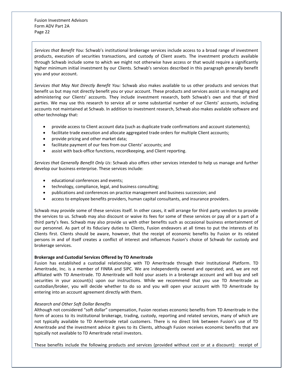*Services that Benefit You:* Schwab's institutional brokerage services include access to a broad range of investment products, execution of securities transactions, and custody of Client assets. The investment products available through Schwab include some to which we might not otherwise have access or that would require a significantly higher minimum initial investment by our Clients. Schwab's services described in this paragraph generally benefit you and your account.

*Services that May Not Directly Benefit You:* Schwab also makes available to us other products and services that benefit us but may not directly benefit you or your account. These products and services assist us in managing and administering our Clients' accounts. They include investment research, both Schwab's own and that of third parties. We may use this research to service all or some substantial number of our Clients' accounts, including accounts not maintained at Schwab. In addition to investment research, Schwab also makes available software and other technology that:

- provide access to Client account data (such as duplicate trade confirmations and account statements);
- facilitate trade execution and allocate aggregated trade orders for multiple Client accounts;
- provide pricing and other market data;
- facilitate payment of our fees from our Clients' accounts; and
- assist with back-office functions, recordkeeping, and Client reporting.

*Services that Generally Benefit Only Us*: Schwab also offers other services intended to help us manage and further develop our business enterprise. These services include:

- educational conferences and events;
- technology, compliance, legal, and business consulting;
- publications and conferences on practice management and business succession; and
- access to employee benefits providers, human capital consultants, and insurance providers.

Schwab may provide some of these services itself. In other cases, it will arrange for third party vendors to provide the services to us. Schwab may also discount or waive its fees for some of these services or pay all or a part of a third party's fees. Schwab may also provide us with other benefits such as occasional business entertainment of our personnel. As part of its fiduciary duties to Clients, Fusion endeavors at all times to put the interests of its Clients first. Clients should be aware, however, that the receipt of economic benefits by Fusion or its related persons in and of itself creates a conflict of interest and influences Fusion's choice of Schwab for custody and brokerage services.

### **Brokerage and Custodial Services Offered by TD Ameritrade**

Fusion has established a custodial relationship with TD Ameritrade through their Institutional Platform. TD Ameritrade, Inc. is a member of FINRA and SIPC. We are independently owned and operated; and, we are not affiliated with TD Ameritrade. TD Ameritrade will hold your assets in a brokerage account and will buy and sell securities in your account(s) upon our instructions. While we recommend that you use TD Ameritrade as custodian/broker, you will decide whether to do so and you will open your account with TD Ameritrade by entering into an account agreement directly with them.

### *Research and Other Soft Dollar Benefits*

Although not considered "soft dollar" compensation, Fusion receives economic benefits from TD Ameritrade in the form of access to its institutional brokerage, trading, custody, reporting and related services, many of which are not typically available to TD Ameritrade retail customers. There is no direct link between Fusion's use of TD Ameritrade and the investment advice it gives to its Clients, although Fusion receives economic benefits that are typically not available to TD Ameritrade retail investors.

These benefits include the following products and services (provided without cost or at a discount): receipt of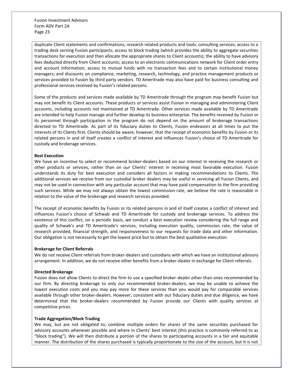duplicate Client statements and confirmations; research related products and tools; consulting services; access to a trading desk serving Fusion participants; access to block trading (which provides the ability to aggregate securities transactions for execution and then allocate the appropriate shares to Client accounts); the ability to have advisory fees deducted directly from Client accounts; access to an electronic communications network for Client order entry and account information; access to mutual funds with no transaction fees and to certain institutional money managers; and discounts on compliance, marketing, research, technology, and practice management products or services provided to Fusion by third party vendors. TD Ameritrade may also have paid for business consulting and professional services received by Fusion's related persons.

Some of the products and services made available by TD Ameritrade through the program may benefit Fusion but may not benefit its Client accounts. These products or services assist Fusion in managing and administering Client accounts, including accounts not maintained at TD Ameritrade. Other services made available by TD Ameritrade are intended to help Fusion manage and further develop its business enterprise. The benefits received by Fusion or its personnel through participation in the program do not depend on the amount of brokerage transactions directed to TD Ameritrade. As part of its fiduciary duties to Clients, Fusion endeavors at all times to put the interests of its Clients first. Clients should be aware, however, that the receipt of economic benefits by Fusion or its related persons in and of itself creates a conflict of interest and influences Fusion's choice of TD Ameritrade for custody and brokerage services.

### **Best Execution**

We have an incentive to select or recommend broker-dealers based on our interest in receiving the research or other products or services, rather than on our Clients' interest in receiving most favorable execution. Fusion understands its duty for best execution and considers all factors in making recommendations to Clients. The additional services we receive from our custodial broker dealers may be useful in servicing all Fusion Clients, and may not be used in connection with any particular account that may have paid compensation to the firm providing such services. While we may not always obtain the lowest commission rate, we believe the rate is reasonable in relation to the value of the brokerage and research services provided.

The receipt of economic benefits by Fusion or its related persons in and of itself creates a conflict of interest and influences Fusion's choice of Schwab and TD Ameritrade for custody and brokerage services. To address the existence of this conflict, on a periodic basis, we conduct a best execution review considering the full range and quality of Schwab's and TD Ameritrade's services, including execution quality, commission rate, the value of research provided, financial strength, and responsiveness to our requests for trade data and other information. Our obligation is not necessarily to get the lowest price but to obtain the best qualitative execution.

#### **Brokerage for Client Referrals**

We do not receive Client referrals from broker-dealers and custodians with which we have an institutional advisory arrangement. In addition, we do not receive other benefits from a broker-dealer in exchange for Client referrals.

#### **Directed Brokerage**

Fusion does not allow Clients to direct the firm to use a specified broker-dealer other than ones recommended by our firm. By directing brokerage to only our recommended broker-dealers, we may be unable to achieve the lowest execution costs and you may pay more for these services than you would pay for comparable services available through other broker-dealers. However, consistent with our fiduciary duties and due diligence, we have determined that the broker-dealers recommended by Fusion provide our Clients with quality services at competitive prices.

### **Trade Aggregation/Block Trading**

We may, but are not obligated to, combine multiple orders for shares of the same securities purchased for advisory accounts whenever possible and where in Clients' best interest (this practice is commonly referred to as "block trading"). We will then distribute a portion of the shares to participating accounts in a fair and equitable manner. The distribution of the shares purchased is typically proportionate to the size of the account, but it is not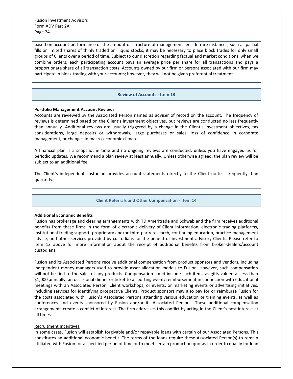based on account performance or the amount or structure of management fees. In rare instances, such as partial fills or limited shares of thinly traded or illiquid stocks, it may be necessary to place block trades for only small groups of Clients over a period of time. Subject to our discretion regarding factual and market conditions, when we combine orders, each participating account pays an average price per share for all transactions and pays a proportionate share of all transaction costs. Accounts owned by our firm or persons associated with our firm may participate in block trading with your accounts; however, they will not be given preferential treatment.

# **Review of Accounts - Item 13**

### <span id="page-23-0"></span>**Portfolio Management Account Reviews**

Accounts are reviewed by the Associated Person named as adviser of record on the account. The frequency of reviews is determined based on the Client's investment objectives, but reviews are conducted no less frequently than annually. Additional reviews are usually triggered by a change in the Client's investment objectives, tax considerations, large deposits or withdrawals, large purchases or sales, loss of confidence in corporate management, or changes in macro-economic climate.

A financial plan is a snapshot in time and no ongoing reviews are conducted, unless you have engaged us for periodic updates. We recommend a plan review at least annually. Unless otherwise agreed, the plan review will be subject to an additional fee.

The Client's independent custodian provides account statements directly to the Client no less frequently than quarterly.

### **Client Referrals and Other Compensation - Item 14**

# <span id="page-23-1"></span>**Additional Economic Benefits**

Fusion has brokerage and clearing arrangements with TD Ameritrade and Schwab and the firm receives additional benefits from these firms in the form of electronic delivery of Client information, electronic trading platforms, institutional trading support, proprietary and/or third-party research, continuing education, practice management advice, and other services provided by custodians for the benefit of investment advisory Clients. Please refer to item 12 above for more information about the receipt of additional benefits from broker-dealers/account custodians.

Fusion and its Associated Persons receive additional compensation from product sponsors and vendors, including independent money managers used to provide asset allocation models to Fusion. However, such compensation will not be tied to the sales of any products. Compensation could include such items as gifts valued at less than \$1,000 annually; an occasional dinner or ticket to a sporting event; reimbursement in connection with educational meetings with an Associated Person, Client workshops, or events; or marketing events or advertising initiatives, including services for identifying prospective Clients. Product sponsors may also pay for or reimburse Fusion for the costs associated with Fusion's Associated Persons attending various education or training events, as well as conferences and events sponsored by Fusion and/or its Associated Persons. These additional compensation arrangements create a conflict of interest. The firm addresses this conflict by acting in the Client's best interest at all times.

## Recruitment Incentives

In some cases, Fusion will establish forgivable and/or repayable loans with certain of our Associated Persons. This constitutes an additional economic benefit. The terms of the loans require these Associated Person(s) to remain affiliated with Fusion for a specified period of time or to meet certain production quotas in order to qualify for loan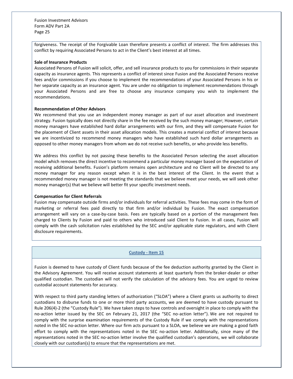forgiveness. The receipt of the Forgivable Loan therefore presents a conflict of interest. The firm addresses this conflict by requiring Associated Persons to act in the Client's best interest at all times.

### **Sale of Insurance Products**

Associated Persons of Fusion will solicit, offer, and sell insurance products to you for commissions in their separate capacity as insurance agents. This represents a conflict of interest since Fusion and the Associated Persons receive fees and/or commissions if you choose to implement the recommendations of your Associated Persons in his or her separate capacity as an insurance agent. You are under no obligation to implement recommendations through your Associated Persons and are free to choose any insurance company you wish to implement the recommendations.

### **Recommendation of Other Advisors**

We recommend that you use an independent money manager as part of our asset allocation and investment strategy. Fusion typically does not directly share in the fee received by the such money manager; However, certain money managers have established hard dollar arrangements with our firm, and they will compensate Fusion for the placement of Client assets in their asset allocation models. This creates a material conflict of interest because we are incentivized to recommend money managers who have established such hard dollar arrangements as opposed to other money managers from whom we do not receive such benefits, or who provide less benefits.

We address this conflict by not passing these benefits to the Associated Person selecting the asset allocation model which removes the direct incentive to recommend a particular money manager based on the expectation of receiving additional benefits. Fusion's platform remains open architecture and no Client will be directed to any money manager for any reason except when it is in the best interest of the Client. In the event that a recommended money manager is not meeting the standards that we believe meet your needs, we will seek other money manager(s) that we believe will better fit your specific investment needs.

### **Compensation for Client Referrals**

Fusion may compensate outside firms and/or individuals for referral activities. These fees may come in the form of marketing or referral fees paid directly to that firm and/or individual by Fusion. The exact compensation arrangement will vary on a case-by-case basis. Fees are typically based on a portion of the management fees charged to Clients by Fusion and paid to others who introduced said Client to Fusion. In all cases, Fusion will comply with the cash solicitation rules established by the SEC and/or applicable state regulators, and with Client disclosure requirements.

### **Custody - Item 15**

<span id="page-24-0"></span>Fusion is deemed to have custody of Client funds because of the fee deduction authority granted by the Client in the Advisory Agreement. You will receive account statements at least quarterly from the broker-dealer or other qualified custodian. The custodian will not verify the calculation of the advisory fees. You are urged to review custodial account statements for accuracy.

With respect to third party standing letters of authorization ("SLOA") where a Client grants us authority to direct custodians to disburse funds to one or more third party accounts, we are deemed to have custody pursuant to Rule 206(4)-2 (the "Custody Rule"). We have taken steps to have controls and oversight in place to comply with the no-action letter issued by the SEC on February 21, 2017 (the "SEC no-action letter"). We are not required to comply with the surprise examination requirements of the Custody Rule if we comply with the representations noted in the SEC no-action letter. Where our firm acts pursuant to a SLOA, we believe we are making a good faith effort to comply with the representations noted in the SEC no-action letter. Additionally, since many of the representations noted in the SEC no-action letter involve the qualified custodian's operations, we will collaborate closely with our custodian(s) to ensure that the representations are met.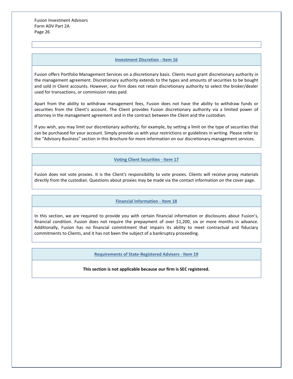## **Investment Discretion - Item 16**

<span id="page-25-0"></span>Fusion offers Portfolio Management Services on a discretionary basis. Clients must grant discretionary authority in the management agreement. Discretionary authority extends to the types and amounts of securities to be bought and sold in Client accounts. However, our firm does not retain discretionary authority to select the broker/dealer used for transactions, or commission rates paid.

Apart from the ability to withdraw management fees, Fusion does not have the ability to withdraw funds or securities from the Client's account. The Client provides Fusion discretionary authority via a limited power of attorney in the management agreement and in the contract between the Client and the custodian.

If you wish, you may limit our discretionary authority, for example, by setting a limit on the type of securities that can be purchased for your account. Simply provide us with your restrictions or guidelines in writing. Please refer to the "Advisory Business" section in this Brochure for more information on our discretionary management services.

**Voting Client Securities - Item 17**

<span id="page-25-1"></span>Fusion does not vote proxies. It is the Client's responsibility to vote proxies. Clients will receive proxy materials directly from the custodian. Questions about proxies may be made via the contact information on the cover page.

# **Financial Information - Item 18**

<span id="page-25-3"></span><span id="page-25-2"></span>In this section, we are required to provide you with certain financial information or disclosures about Fusion's, financial condition. Fusion does not require the prepayment of over \$1,200, six or more months in advance. Additionally, Fusion has no financial commitment that impairs its ability to meet contractual and fiduciary commitments to Clients, and it has not been the subject of a bankruptcy proceeding.

**Requirements of State-Registered Advisers - Item 19**

**This section is not applicable because our firm is SEC registered.**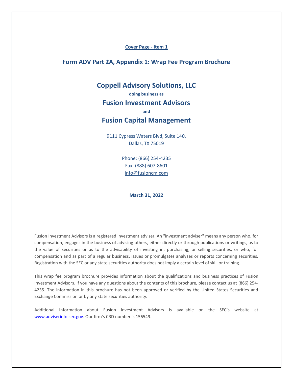# **Cover Page - Item 1**

# <span id="page-26-0"></span>**Form ADV Part 2A, Appendix 1: Wrap Fee Program Brochure**

# **Coppell Advisory Solutions, LLC**

# **doing business as**

# **Fusion Investment Advisors**

# **and**

# **Fusion Capital Management**

9111 Cypress Waters Blvd, Suite 140, Dallas, TX 75019

> Phone: (866) 254-4235 Fax: (888) 607-8601 [info@fusioncm.com](mailto:info@fusioncm.com)

> > **March 31, 2022**

Fusion Investment Advisors is a registered investment adviser. An "investment adviser" means any person who, for compensation, engages in the business of advising others, either directly or through publications or writings, as to the value of securities or as to the advisability of investing in, purchasing, or selling securities, or who, for compensation and as part of a regular business, issues or promulgates analyses or reports concerning securities. Registration with the SEC or any state securities authority does not imply a certain level of skill or training.

This wrap fee program brochure provides information about the qualifications and business practices of Fusion Investment Advisors. If you have any questions about the contents of this brochure, please contact us at (866) 254- 4235. The information in this brochure has not been approved or verified by the United States Securities and Exchange Commission or by any state securities authority.

Additional information about Fusion Investment Advisors is available on the SEC's website at [www.adviserinfo.sec.gov.](http://www.adviserinfo.sec.gov/) Our firm's CRD number is 156549.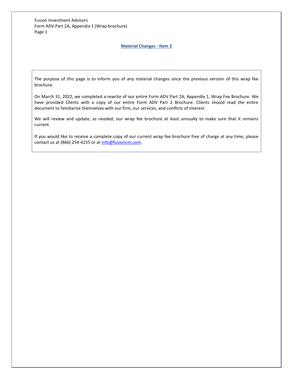# **Material Changes - Item 2**

<span id="page-27-0"></span>The purpose of this page is to inform you of any material changes since the previous version of this wrap fee brochure.

On March 31, 2022, we completed a rewrite of our entire Form ADV Part 2A, Appendix 1, Wrap Fee Brochure. We have provided Clients with a copy of our entire Form ADV Part 2 Brochure. Clients should read the entire document to familiarize themselves with our firm, our services, and conflicts of interest.

We will review and update, as needed, our wrap fee brochure at least annually to make sure that it remains current.

If you would like to receive a complete copy of our current wrap fee brochure free of charge at any time, please contact us at (866) 254-4235 or a[t info@fusioncm.com.](mailto:info@fusioncm.com)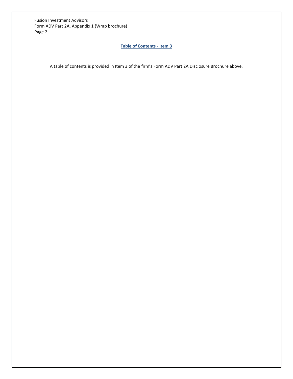# **Table of Contents - Item 3**

<span id="page-28-0"></span>A table of contents is provided in Item 3 of the firm's Form ADV Part 2A Disclosure Brochure above.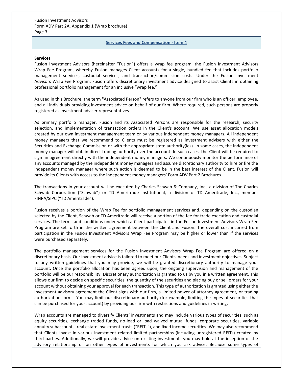# **Services Fees and Compensation - Item 4**

### <span id="page-29-0"></span>**Services**

Fusion Investment Advisors (hereinafter "Fusion") offers a wrap fee program, the Fusion Investment Advisors Wrap Fee Program, whereby Fusion manages Client accounts for a single, bundled fee that includes portfolio management services, custodial services, and transaction/commission costs. Under the Fusion Investment Advisors Wrap Fee Program, Fusion offers discretionary investment advice designed to assist Clients in obtaining professional portfolio management for an inclusive "wrap fee."

As used in this Brochure, the term "Associated Person" refers to anyone from our firm who is an officer, employee, and all individuals providing investment advice on behalf of our firm. Where required, such persons are properly registered as investment adviser representatives.

As primary portfolio manager, Fusion and its Associated Persons are responsible for the research, security selection, and implementation of transaction orders in the Client's account. We use asset allocation models created by our own investment management team or by various independent money managers. All independent money managers that we recommend to Clients must be registered as investment advisers with either the Securities and Exchange Commission or with the appropriate state authority(ies). In some cases, the independent money manager will obtain direct trading authority over the account. In such cases, the Client will be required to sign an agreement directly with the independent money managers. We continuously monitor the performance of any accounts managed by the independent money managers and assume discretionary authority to hire or fire the independent money manager where such action is deemed to be in the best interest of the Client. Fusion will provide its Clients with access to the independent money managers' Form ADV Part 2 Brochures.

The transactions in your account will be executed by Charles Schwab & Company, Inc., a division of The Charles Schwab Corporation ("Schwab") or TD Ameritrade Institutional, a division of TD Ameritrade, Inc., member FINRA/SIPC ("TD Ameritrade").

Fusion receives a portion of the Wrap Fee for portfolio management services and, depending on the custodian selected by the Client, Schwab or TD Ameritrade will receive a portion of the fee for trade execution and custodial services. The terms and conditions under which a Client participates in the Fusion Investment Advisors Wrap Fee Program are set forth in the written agreement between the Client and Fusion. The overall cost incurred from participation in the Fusion Investment Advisors Wrap Fee Program may be higher or lower than if the services were purchased separately.

The portfolio management services for the Fusion Investment Advisors Wrap Fee Program are offered on a discretionary basis. Our investment advice is tailored to meet our Clients' needs and investment objectives. Subject to any written guidelines that you may provide, we will be granted discretionary authority to manage your account. Once the portfolio allocation has been agreed upon, the ongoing supervision and management of the portfolio will be our responsibility. Discretionary authorization is granted to us by you in a written agreement. This allows our firm to decide on specific securities, the quantity of the securities and placing buy or sell orders for your account without obtaining your approval for each transaction. This type of authorization is granted using either the investment advisory agreement the Client signs with our firm, a limited power of attorney agreement, or trading authorization forms. You may limit our discretionary authority (for example, limiting the types of securities that can be purchased for your account) by providing our firm with restrictions and guidelines in writing.

Wrap accounts are managed to diversify Clients' investments and may include various types of securities, such as equity securities, exchange traded funds, no-load or load waived mutual funds, corporate securities, variable annuity subaccounts, real estate investment trusts ("REITs"), and fixed income securities. We may also recommend that Clients invest in various investment related limited partnerships (including unregistered REITs) created by third parties. Additionally, we will provide advice on existing investments you may hold at the inception of the advisory relationship or on other types of investments for which you ask advice. Because some types of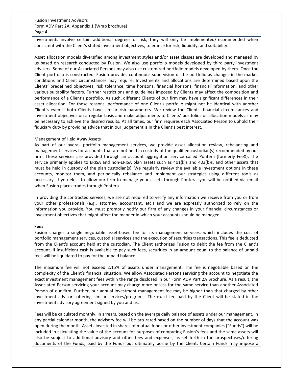investments involve certain additional degrees of risk, they will only be implemented/recommended when consistent with the Client's stated investment objectives, tolerance for risk, liquidity, and suitability.

Asset allocation models diversified among investment styles and/or asset classes are developed and managed by us based on research conducted by Fusion. We also use portfolio models developed by third party investment advisers. Some of our Associated Persons may also use customized portfolio models developed by them. Once the Client portfolio is constructed, Fusion provides continuous supervision of the portfolio as changes in the market conditions and Client circumstances may require. Investments and allocations are determined based upon the Clients' predefined objectives, risk tolerance, time horizons, financial horizons, financial information, and other various suitability factors. Further restrictions and guidelines imposed by Clients may affect the composition and performance of a Client's portfolio. As such, different Clients of our firm may have significant differences in their asset allocation. For these reasons, performance of one Client's portfolio might not be identical with another Client's even if both Clients have similar risk parameters. We review the Clients' financial circumstances and investment objectives on a regular basis and make adjustments to Clients' portfolios or allocation models as may be necessary to achieve the desired results. At all times, our firm requires each Associated Person to uphold their fiduciary duty by providing advice that in our judgement is in the Client's best interest.

# Management of Held Away Assets

As part of our overall portfolio management services, we provide asset allocation review, rebalancing and management services for accounts that are not held in custody of the qualified custodian(s) recommended by our firm. These services are provided through an account aggregation service called Pontera (formerly FeeX). The service primarily applies to ERISA and non-ERISA plan assets such as 401(k)s and 403(b)s, and other assets that must be held in custody of the plan custodian(s). We regularly review the available investment options in these accounts, monitor them, and periodically rebalance and implement our strategies using different tools as necessary. If you elect to allow our firm to manage your assets through Pontera, you will be notified via email when Fusion places trades through Pontera.

In providing the contracted services, we are not required to verify any information we receive from you or from your other professionals (e.g., attorney, accountant, etc.) and we are expressly authorized to rely on the information you provide. You must promptly notify our firm of any changes in your financial circumstances or investment objectives that might affect the manner in which your accounts should be managed.

### **Fees**

Fusion charges a single negotiable asset-based fee for its management services, which includes the cost of portfolio management services, custodial services and the execution of securities transactions. This fee is deducted from the Client's account held at the custodian. The Client authorizes Fusion to debit the fee from the Client's account. If insufficient cash is available to pay such fees, securities in an amount equal to the balance of unpaid fees will be liquidated to pay for the unpaid balance.

The maximum fee will not exceed 2.15% of assets under management. The fee is negotiable based on the complexity of the Client's financial situation. We allow Associated Persons servicing the account to negotiate the exact investment management fees within the range disclosed in our Form ADV Part 2A Brochure. As a result, the Associated Person servicing your account may charge more or less for the same service than another Associated Person of our firm. Further, our annual investment management fee may be higher than that charged by other investment advisors offering similar services/programs. The exact fee paid by the Client will be stated in the investment advisory agreement signed by you and us.

Fees will be calculated monthly, in arrears, based on the average daily balance of assets under our management. In any partial calendar month, the advisory fee will be pro-rated based on the number of days that the account was open during the month. Assets invested in shares of mutual funds or other investment companies ("Funds") will be included in calculating the value of the account for purposes of computing Fusion's fees and the same assets will also be subject to additional advisory and other fees and expenses, as set forth in the prospectuses/offering documents of the Funds, paid by the Funds but ultimately borne by the Client. Certain Funds may impose a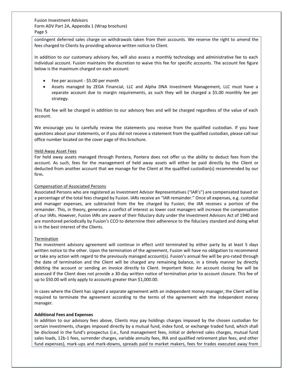contingent deferred sales charge on withdrawals taken from their accounts. We reserve the right to amend the fees charged to Clients by providing advance written notice to Client.

In addition to our customary advisory fee, will also assess a monthly technology and administrative fee to each individual account. Fusion maintains the discretion to waive this fee for specific accounts. The account fee figure below is the maximum charged on each account:

- Fee per account \$5.00 per month
- Assets managed by ZEGA Financial, LLC and Alpha DNA Investment Management, LLC must have a separate account due to margin requirements, as such they will be charged a \$5.00 monthly fee per strategy.

This flat fee will be charged in addition to our advisory fees and will be charged regardless of the value of each account.

We encourage you to carefully review the statements you receive from the qualified custodian. If you have questions about your statements, or if you did not receive a statement from the qualified custodian, please call our office number located on the cover page of this brochure.

# Held Away Asset Fees

For held away assets managed through Pontera, Pontera does not offer us the ability to deduct fees from the account. As such, fees for the management of held away assets will either be paid directly by the Client or deducted from another account that we manage for the Client at the qualified custodian(s) recommended by our firm.

# Compensation of Associated Persons

Associated Persons who are registered as Investment Advisor Representatives ("IAR's") are compensated based on a percentage of the total fees charged by Fusion. IARs receive an "IAR remainder." Once all expenses, e.g. custodial and manager expenses, are subtracted from the fee charged by Fusion; the IAR receives a portion of the remainder. This, in theory, generates a conflict of interest as lower cost managers will increase the compensation of our IARs. However, Fusion IARs are aware of their fiduciary duty under the Investment Advisors Act of 1940 and are monitored periodically by Fusion's CCO to determine their adherence to the fiduciary standard and doing what is in the best interest of the Clients.

### Termination

The investment advisory agreement will continue in effect until terminated by either party by at least 5 days written notice to the other. Upon the termination of the agreement, Fusion will have no obligation to recommend or take any action with regard to the previously managed account(s). Fusion's annual fee will be pro-rated through the date of termination and the Client will be charged any remaining balance, in a timely manner by directly debiting the account or sending an invoice directly to Client. Important Note: An account closing fee will be assessed if the Client does not provide a 30-day written notice of termination prior to account closure. This fee of up to \$50.00 will only apply to accounts greater than \$1,000.00.

In cases where the Client has signed a separate agreement with an independent money manager, the Client will be required to terminate the agreement according to the terms of the agreement with the independent money manager.

### **Additional Fees and Expenses**

In addition to our advisory fees above, Clients may pay holdings charges imposed by the chosen custodian for certain investments, charges imposed directly by a mutual fund, index fund, or exchange traded fund, which shall be disclosed in the fund's prospectus (i.e., fund management fees, initial or deferred sales charges, mutual fund sales loads, 12b-1 fees, surrender charges, variable annuity fees, IRA and qualified retirement plan fees, and other fund expenses), mark-ups and mark-downs, spreads paid to market makers, fees for trades executed away from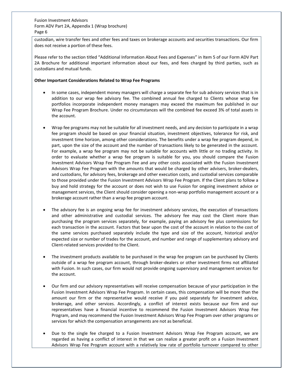custodian, wire transfer fees and other fees and taxes on brokerage accounts and securities transactions. Our firm does not receive a portion of these fees.

Please refer to the section titled "Additional Information About Fees and Expenses" in Item 5 of our Form ADV Part 2A Brochure for additional important information about our fees, and fees charged by third parties, such as custodians and mutual funds.

### **Other Important Considerations Related to Wrap Fee Programs**

- In some cases, independent money managers will charge a separate fee for sub advisory services that is in addition to our wrap fee advisory fee. The combined annual fee charged to Clients whose wrap fee portfolios incorporate independent money managers may exceed the maximum fee published in our Wrap Fee Program Brochure. Under no circumstances will the combined fee exceed 3% of total assets in the account.
- Wrap fee programs may not be suitable for all investment needs, and any decision to participate in a wrap fee program should be based on your financial situation, investment objectives, tolerance for risk, and investment time horizon, among other considerations. The benefits under a wrap fee program depend, in part, upon the size of the account and the number of transactions likely to be generated in the account. For example, a wrap fee program may not be suitable for accounts with little or no trading activity. In order to evaluate whether a wrap fee program is suitable for you, you should compare the Fusion Investment Advisors Wrap Fee Program Fee and any other costs associated with the Fusion Investment Advisors Wrap Fee Program with the amounts that would be charged by other advisers, broker-dealers, and custodians, for advisory fees, brokerage and other execution costs, and custodial services comparable to those provided under the Fusion Investment Advisors Wrap Fee Program. If the Client plans to follow a buy and hold strategy for the account or does not wish to use Fusion for ongoing investment advice or management services, the Client should consider opening a non-wrap portfolio management account or a brokerage account rather than a wrap fee program account.
- The advisory fee is an ongoing wrap fee for investment advisory services, the execution of transactions and other administrative and custodial services. The advisory fee may cost the Client more than purchasing the program services separately, for example, paying an advisory fee plus commissions for each transaction in the account. Factors that bear upon the cost of the account in relation to the cost of the same services purchased separately include the type and size of the account, historical and/or expected size or number of trades for the account, and number and range of supplementary advisory and Client-related services provided to the Client.
- The investment products available to be purchased in the wrap fee program can be purchased by Clients outside of a wrap fee program account, through broker-dealers or other investment firms not affiliated with Fusion. In such cases, our firm would not provide ongoing supervisory and management services for the account.
- Our firm and our advisory representatives will receive compensation because of your participation in the Fusion Investment Advisors Wrap Fee Program. In certain cases, this compensation will be more than the amount our firm or the representative would receive if you paid separately for investment advice, brokerage, and other services. Accordingly, a conflict of interest exists because our firm and our representatives have a financial incentive to recommend the Fusion Investment Advisors Wrap Fee Program, and may recommend the Fusion Investment Advisors Wrap Fee Program over other programs or services for which the compensation arrangements are not as beneficial.
- Due to the single fee charged to a Fusion Investment Advisors Wrap Fee Program account, we are regarded as having a conflict of interest in that we can realize a greater profit on a Fusion Investment Advisors Wrap Fee Program account with a relatively low rate of portfolio turnover compared to other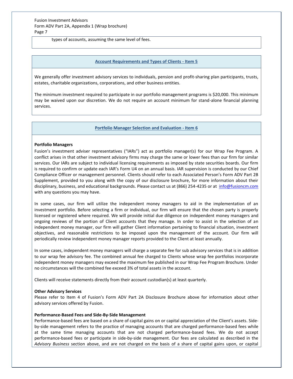types of accounts, assuming the same level of fees.

### **Account Requirements and Types of Clients - Item 5**

<span id="page-33-0"></span>We generally offer investment advisory services to individuals, pension and profit-sharing plan participants, trusts, estates, charitable organizations, corporations, and other business entities.

The minimum investment required to participate in our portfolio management programs is \$20,000. This minimum may be waived upon our discretion. We do not require an account minimum for stand-alone financial planning services.

### **Portfolio Manager Selection and Evaluation - Item 6**

### <span id="page-33-1"></span>**Portfolio Managers**

Fusion's investment adviser representatives ("IARs") act as portfolio manager(s) for our Wrap Fee Program. A conflict arises in that other investment advisory firms may charge the same or lower fees than our firm for similar services. Our IARs are subject to individual licensing requirements as imposed by state securities boards. Our firm is required to confirm or update each IAR's Form U4 on an annual basis. IAR supervision is conducted by our Chief Compliance Officer or management personnel. Clients should refer to each Associated Person's Form ADV Part 2B Supplement, provided to you along with the copy of our disclosure brochure, for more information about their disciplinary, business, and educational backgrounds. Please contact us at (866) 254-4235 or at [info@fusioncm.com](mailto:info@fusioncm.com) with any questions you may have.

In some cases, our firm will utilize the independent money managers to aid in the implementation of an investment portfolio. Before selecting a firm or individual, our firm will ensure that the chosen party is properly licensed or registered where required. We will provide initial due diligence on independent money managers and ongoing reviews of the portion of Client accounts that they manage. In order to assist in the selection of an independent money manager, our firm will gather Client information pertaining to financial situation, investment objectives, and reasonable restrictions to be imposed upon the management of the account. Our firm will periodically review independent money manager reports provided to the Client at least annually.

In some cases, independent money managers will charge a separate fee for sub advisory services that is in addition to our wrap fee advisory fee. The combined annual fee charged to Clients whose wrap fee portfolios incorporate independent money managers may exceed the maximum fee published in our Wrap Fee Program Brochure. Under no circumstances will the combined fee exceed 3% of total assets in the account.

Clients will receive statements directly from their account custodian(s) at least quarterly.

#### **Other Advisory Services**

Please refer to Item 4 of Fusion's Form ADV Part 2A Disclosure Brochure above for information about other advisory services offered by Fusion.

#### **Performance-Based Fees and Side-By-Side Management**

Performance-based fees are based on a share of capital gains on or capital appreciation of the Client's assets. Sideby-side management refers to the practice of managing accounts that are charged performance-based fees while at the same time managing accounts that are not charged performance-based fees. We do not accept performance-based fees or participate in side-by-side management. Our fees are calculated as described in the *Advisory Business* section above, and are not charged on the basis of a share of capital gains upon, or capital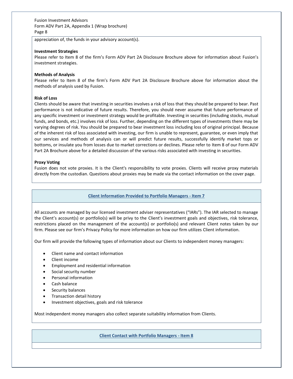appreciation of, the funds in your advisory account(s).

### **Investment Strategies**

Please refer to Item 8 of the firm's Form ADV Part 2A Disclosure Brochure above for information about Fusion's investment strategies.

### **Methods of Analysis**

Please refer to Item 8 of the firm's Form ADV Part 2A Disclosure Brochure above for information about the methods of analysis used by Fusion.

### **Risk of Loss**

Clients should be aware that investing in securities involves a risk of loss that they should be prepared to bear. Past performance is not indicative of future results. Therefore, you should never assume that future performance of any specific investment or investment strategy would be profitable. Investing in securities (including stocks, mutual funds, and bonds, etc.) involves risk of loss. Further, depending on the different types of investments there may be varying degrees of risk. You should be prepared to bear investment loss including loss of original principal. Because of the inherent risk of loss associated with investing, our firm is unable to represent, guarantee, or even imply that our services and methods of analysis can or will predict future results, successfully identify market tops or bottoms, or insulate you from losses due to market corrections or declines. Please refer to Item 8 of our Form ADV Part 2A Brochure above for a detailed discussion of the various risks associated with investing in securities.

### **Proxy Voting**

Fusion does not vote proxies. It is the Client's responsibility to vote proxies. Clients will receive proxy materials directly from the custodian. Questions about proxies may be made via the contact information on the cover page.

#### **Client Information Provided to Portfolio Managers - Item 7**

<span id="page-34-0"></span>All accounts are managed by our licensed investment adviser representatives ("IARs"). The IAR selected to manage the Client's account(s) or portfolio(s) will be privy to the Client's investment goals and objectives, risk tolerance, restrictions placed on the management of the account(s) or portfolio(s) and relevant Client notes taken by our firm. Please see our firm's Privacy Policy for more information on how our firm utilizes Client information.

Our firm will provide the following types of information about our Clients to independent money managers:

- Client name and contact information
- Client income
- Employment and residential information
- Social security number
- Personal information
- Cash balance
- Security balances
- Transaction detail history
- Investment objectives, goals and risk tolerance

<span id="page-34-1"></span>Most independent money managers also collect separate suitability information from Clients.

**Client Contact with Portfolio Managers - Item 8**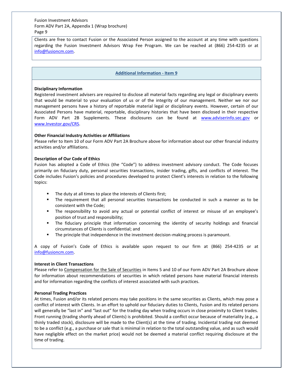Clients are free to contact Fusion or the Associated Person assigned to the account at any time with questions regarding the Fusion Investment Advisors Wrap Fee Program. We can be reached at (866) 254-4235 or at [info@fusioncm.com.](mailto:info@fusioncm.com)

### **Additional Information - Item 9**

### <span id="page-35-0"></span>**Disciplinary Information**

Registered investment advisers are required to disclose all material facts regarding any legal or disciplinary events that would be material to your evaluation of us or of the integrity of our management. Neither we nor our management persons have a history of reportable material legal or disciplinary events. However, certain of our Associated Persons have material, reportable, disciplinary histories that have been disclosed in their respective Form ADV Part 2B Supplements. These disclosures can be found at [www.adviserinfo.sec.gov](http://www.adviserinfo.sec.gov/) or [www.Investor.gov/CRS.](http://www.investor.gov/CRS) 

# **Other Financial Industry Activities or Affiliations**

Please refer to Item 10 of our Form ADV Part 2A Brochure above for information about our other financial industry activities and/or affiliations.

# **Description of Our Code of Ethics**

Fusion has adopted a Code of Ethics (the "Code") to address investment advisory conduct. The Code focuses primarily on fiduciary duty, personal securities transactions, insider trading, gifts, and conflicts of interest. The Code includes Fusion's policies and procedures developed to protect Client's interests in relation to the following topics:

- The duty at all times to place the interests of Clients first;
- The requirement that all personal securities transactions be conducted in such a manner as to be consistent with the Code;
- The responsibility to avoid any actual or potential conflict of interest or misuse of an employee's position of trust and responsibility;
- **■** The fiduciary principle that information concerning the identity of security holdings and financial circumstances of Clients is confidential; and
- The principle that independence in the investment decision-making process is paramount.

A copy of Fusion's Code of Ethics is available upon request to our firm at (866) 254-4235 or at [info@fusioncm.com.](mailto:info@fusioncm.com)

### **Interest in Client Transactions**

Please refer to Compensation for the Sale of Securities in Items 5 and 10 of our Form ADV Part 2A Brochure above for information about recommendations of securities in which related persons have material financial interests and for information regarding the conflicts of interest associated with such practices.

### **Personal Trading Practices**

At times, Fusion and/or its related persons may take positions in the same securities as Clients, which may pose a conflict of interest with Clients. In an effort to uphold our fiduciary duties to Clients, Fusion and its related persons will generally be "last in" and "last out" for the trading day when trading occurs in close proximity to Client trades. Front running (trading shortly ahead of Clients) is prohibited. Should a conflict occur because of materiality (e.g., a thinly traded stock), disclosure will be made to the Client(s) at the time of trading. Incidental trading not deemed to be a conflict (e.g., a purchase or sale that is minimal in relation to the total outstanding value, and as such would have negligible effect on the market price) would not be deemed a material conflict requiring disclosure at the time of trading.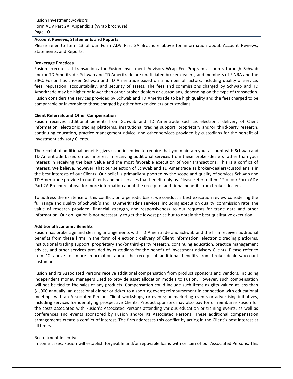### **Account Reviews, Statements and Reports**

Please refer to Item 13 of our Form ADV Part 2A Brochure above for information about Account Reviews, Statements, and Reports.

### **Brokerage Practices**

Fusion executes all transactions for Fusion Investment Advisors Wrap Fee Program accounts through Schwab and/or TD Ameritrade. Schwab and TD Ameritrade are unaffiliated broker-dealers, and members of FINRA and the SIPC. Fusion has chosen Schwab and TD Ameritrade based on a number of factors, including quality of service, fees, reputation, accountability, and security of assets. The fees and commissions charged by Schwab and TD Ameritrade may be higher or lower than other broker-dealers or custodians, depending on the type of transaction. Fusion considers the services provided by Schwab and TD Ameritrade to be high quality and the fees charged to be comparable or favorable to those charged by other broker-dealers or custodians.

### **Client Referrals and Other Compensation**

Fusion receives additional benefits from Schwab and TD Ameritrade such as electronic delivery of Client information, electronic trading platforms, institutional trading support, proprietary and/or third-party research, continuing education, practice management advice, and other services provided by custodians for the benefit of investment advisory Clients.

The receipt of additional benefits gives us an incentive to require that you maintain your account with Schwab and TD Ameritrade based on our interest in receiving additional services from these broker-dealers rather than your interest in receiving the best value and the most favorable execution of your transactions. This is a conflict of interest. We believe, however, that our selection of Schwab and TD Ameritrade as broker-dealers/custodians is in the best interests of our Clients. Our belief is primarily supported by the scope and quality of services Schwab and TD Ameritrade provide to our Clients and not services that benefit only us. Please refer to Item 12 of our Form ADV Part 2A Brochure above for more information about the receipt of additional benefits from broker-dealers.

To address the existence of this conflict, on a periodic basis, we conduct a best execution review considering the full range and quality of Schwab's and TD Ameritrade's services, including execution quality, commission rate, the value of research provided, financial strength, and responsiveness to our requests for trade data and other information. Our obligation is not necessarily to get the lowest price but to obtain the best qualitative execution.

# **Additional Economic Benefits**

Fusion has brokerage and clearing arrangements with TD Ameritrade and Schwab and the firm receives additional benefits from these firms in the form of electronic delivery of Client information, electronic trading platforms, institutional trading support, proprietary and/or third-party research, continuing education, practice management advice, and other services provided by custodians for the benefit of investment advisory Clients. Please refer to item 12 above for more information about the receipt of additional benefits from broker-dealers/account custodians.

Fusion and its Associated Persons receive additional compensation from product sponsors and vendors, including independent money managers used to provide asset allocation models to Fusion. However, such compensation will not be tied to the sales of any products. Compensation could include such items as gifts valued at less than \$1,000 annually; an occasional dinner or ticket to a sporting event; reimbursement in connection with educational meetings with an Associated Person, Client workshops, or events; or marketing events or advertising initiatives, including services for identifying prospective Clients. Product sponsors may also pay for or reimburse Fusion for the costs associated with Fusion's Associated Persons attending various education or training events, as well as conferences and events sponsored by Fusion and/or its Associated Persons. These additional compensation arrangements create a conflict of interest. The firm addresses this conflict by acting in the Client's best interest at all times.

### Recruitment Incentives

In some cases, Fusion will establish forgivable and/or repayable loans with certain of our Associated Persons. This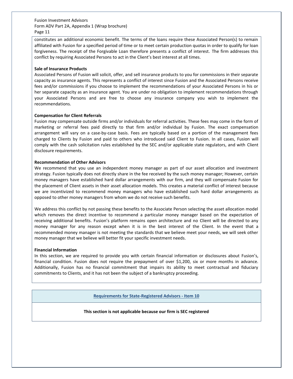constitutes an additional economic benefit. The terms of the loans require these Associated Person(s) to remain affiliated with Fusion for a specified period of time or to meet certain production quotas in order to qualify for loan forgiveness. The receipt of the Forgivable Loan therefore presents a conflict of interest. The firm addresses this conflict by requiring Associated Persons to act in the Client's best interest at all times.

# **Sale of Insurance Products**

Associated Persons of Fusion will solicit, offer, and sell insurance products to you for commissions in their separate capacity as insurance agents. This represents a conflict of interest since Fusion and the Associated Persons receive fees and/or commissions if you choose to implement the recommendations of your Associated Persons in his or her separate capacity as an insurance agent. You are under no obligation to implement recommendations through your Associated Persons and are free to choose any insurance company you wish to implement the recommendations.

# **Compensation for Client Referrals**

Fusion may compensate outside firms and/or individuals for referral activities. These fees may come in the form of marketing or referral fees paid directly to that firm and/or individual by Fusion. The exact compensation arrangement will vary on a case-by-case basis. Fees are typically based on a portion of the management fees charged to Clients by Fusion and paid to others who introduced said Client to Fusion. In all cases, Fusion will comply with the cash solicitation rules established by the SEC and/or applicable state regulators, and with Client disclosure requirements.

# **Recommendation of Other Advisors**

We recommend that you use an independent money manager as part of our asset allocation and investment strategy. Fusion typically does not directly share in the fee received by the such money manager; However, certain money managers have established hard dollar arrangements with our firm, and they will compensate Fusion for the placement of Client assets in their asset allocation models. This creates a material conflict of interest because we are incentivized to recommend money managers who have established such hard dollar arrangements as opposed to other money managers from whom we do not receive such benefits.

We address this conflict by not passing these benefits to the Associate Person selecting the asset allocation model which removes the direct incentive to recommend a particular money manager based on the expectation of receiving additional benefits. Fusion's platform remains open architecture and no Client will be directed to any money manager for any reason except when it is in the best interest of the Client. In the event that a recommended money manager is not meeting the standards that we believe meet your needs, we will seek other money manager that we believe will better fit your specific investment needs.

### **Financial Information**

<span id="page-37-0"></span>In this section, we are required to provide you with certain financial information or disclosures about Fusion's, financial condition. Fusion does not require the prepayment of over \$1,200, six or more months in advance. Additionally, Fusion has no financial commitment that impairs its ability to meet contractual and fiduciary commitments to Clients, and it has not been the subject of a bankruptcy proceeding.

# **Requirements for State-Registered Advisors - Item 10**

# **This section is not applicable because our firm is SEC registered**